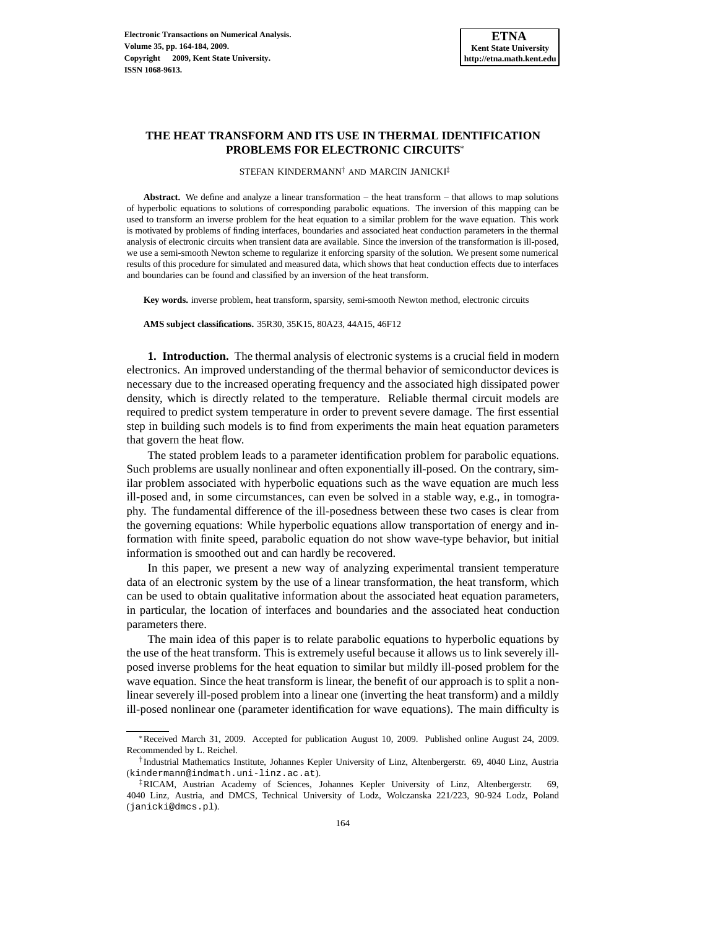# **THE HEAT TRANSFORM AND ITS USE IN THERMAL IDENTIFICATION PROBLEMS FOR ELECTRONIC CIRCUITS**<sup>∗</sup>

STEFAN KINDERMANN<sup>†</sup> AND MARCIN JANICKI<sup>‡</sup>

**Abstract.** We define and analyze a linear transformation – the heat transform – that allows to map solutions of hyperbolic equations to solutions of corresponding parabolic equations. The inversion of this mapping can be used to transform an inverse problem for the heat equation to a similar problem for the wave equation. This work is motivated by problems of finding interfaces, boundaries and associated heat conduction parameters in the thermal analysis of electronic circuits when transient data are available. Since the inversion of the transformation is ill-posed, we use a semi-smooth Newton scheme to regularize it enforcing sparsity of the solution. We present some numerical results of this procedure for simulated and measured data, which shows that heat conduction effects due to interfaces and boundaries can be found and classified by an inversion of the heat transform.

**Key words.** inverse problem, heat transform, sparsity, semi-smooth Newton method, electronic circuits

**AMS subject classifications.** 35R30, 35K15, 80A23, 44A15, 46F12

**1. Introduction.** The thermal analysis of electronic systems is a crucial field in modern electronics. An improved understanding of the thermal behavior of semiconductor devices is necessary due to the increased operating frequency and the associated high dissipated power density, which is directly related to the temperature. Reliable thermal circuit models are required to predict system temperature in order to prevent severe damage. The first essential step in building such models is to find from experiments the main heat equation parameters that govern the heat flow.

The stated problem leads to a parameter identification problem for parabolic equations. Such problems are usually nonlinear and often exponentially ill-posed. On the contrary, similar problem associated with hyperbolic equations such as the wave equation are much less ill-posed and, in some circumstances, can even be solved in a stable way, e.g., in tomography. The fundamental difference of the ill-posedness between these two cases is clear from the governing equations: While hyperbolic equations allow transportation of energy and information with finite speed, parabolic equation do not show wave-type behavior, but initial information is smoothed out and can hardly be recovered.

In this paper, we present a new way of analyzing experimental transient temperature data of an electronic system by the use of a linear transformation, the heat transform, which can be used to obtain qualitative information about the associated heat equation parameters, in particular, the location of interfaces and boundaries and the associated heat conduction parameters there.

The main idea of this paper is to relate parabolic equations to hyperbolic equations by the use of the heat transform. This is extremely useful because it allows us to link severely illposed inverse problems for the heat equation to similar but mildly ill-posed problem for the wave equation. Since the heat transform is linear, the benefit of our approach is to split a nonlinear severely ill-posed problem into a linear one (inverting the heat transform) and a mildly ill-posed nonlinear one (parameter identification for wave equations). The main difficulty is

<sup>∗</sup>Received March 31, 2009. Accepted for publication August 10, 2009. Published online August 24, 2009. Recommended by L. Reichel.

<sup>†</sup> Industrial Mathematics Institute, Johannes Kepler University of Linz, Altenbergerstr. 69, 4040 Linz, Austria (kindermann@indmath.uni-linz.ac.at).

<sup>‡</sup>RICAM, Austrian Academy of Sciences, Johannes Kepler University of Linz, Altenbergerstr. 69, 4040 Linz, Austria, and DMCS, Technical University of Lodz, Wolczanska 221/223, 90-924 Lodz, Poland (janicki@dmcs.pl).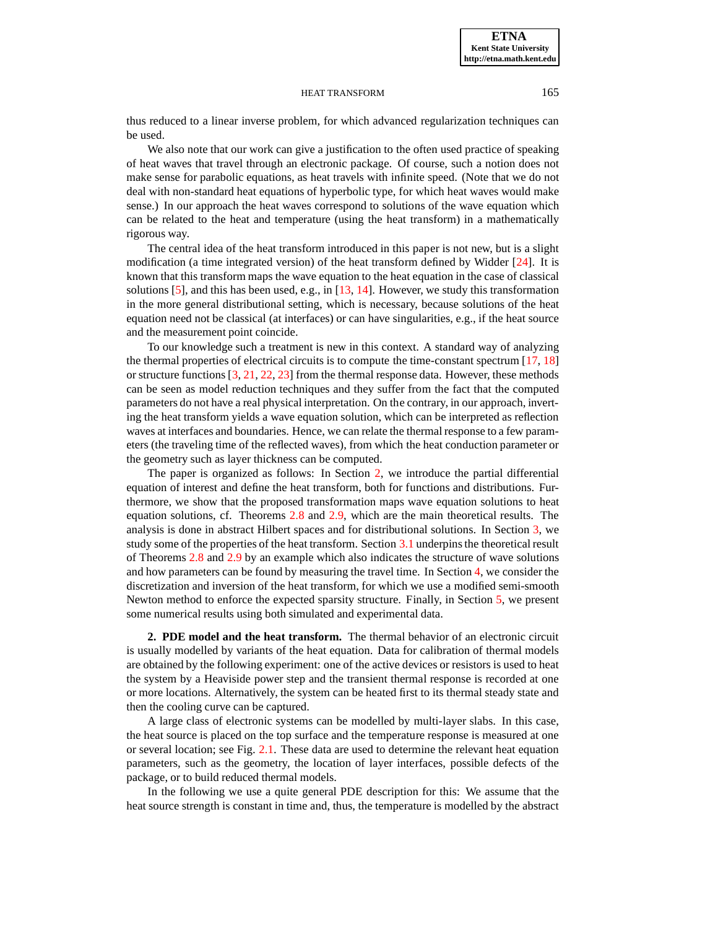#### **ETNA Kent State University http://etna.math.kent.edu**

#### HEAT TRANSFORM 165

thus reduced to a linear inverse problem, for which advanced regularization techniques can be used.

We also note that our work can give a justification to the often used practice of speaking of heat waves that travel through an electronic package. Of course, such a notion does not make sense for parabolic equations, as heat travels with infinite speed. (Note that we do not deal with non-standard heat equations of hyperbolic type, for which heat waves would make sense.) In our approach the heat waves correspond to solutions of the wave equation which can be related to the heat and temperature (using the heat transform) in a mathematically rigorous way.

The central idea of the heat transform introduced in this paper is not new, but is a slight modification (a time integrated version) of the heat transform defined by Widder [\[24\]](#page-20-0). It is known that this transform maps the wave equation to the heat equation in the case of classical solutions  $[5]$ , and this has been used, e.g., in  $[13, 14]$  $[13, 14]$ . However, we study this transformation in the more general distributional setting, which is necessary, because solutions of the heat equation need not be classical (at interfaces) or can have singularities, e.g., if the heat source and the measurement point coincide.

To our knowledge such a treatment is new in this context. A standard way of analyzing the thermal properties of electrical circuits is to compute the time-constant spectrum [\[17,](#page-20-4) [18\]](#page-20-5) or structure functions [\[3,](#page-19-0) [21,](#page-20-6) [22,](#page-20-7) [23\]](#page-20-8) from the thermal response data. However, these methods can be seen as model reduction techniques and they suffer from the fact that the computed parameters do not have a real physical interpretation. On the contrary, in our approach, inverting the heat transform yields a wave equation solution, which can be interpreted as reflection waves at interfaces and boundaries. Hence, we can relate the thermal response to a few parameters (the traveling time of the reflected waves), from which the heat conduction parameter or the geometry such as layer thickness can be computed.

The paper is organized as follows: In Section [2,](#page-1-0) we introduce the partial differential equation of interest and define the heat transform, both for functions and distributions. Furthermore, we show that the proposed transformation maps wave equation solutions to heat equation solutions, cf. Theorems [2.8](#page-6-0) and [2.9,](#page-7-0) which are the main theoretical results. The analysis is done in abstract Hilbert spaces and for distributional solutions. In Section [3,](#page-8-0) we study some of the properties of the heat transform. Section [3.1](#page-10-0) underpins the theoretical result of Theorems [2.8](#page-6-0) and [2.9](#page-7-0) by an example which also indicates the structure of wave solutions and how parameters can be found by measuring the travel time. In Section [4,](#page-12-0) we consider the discretization and inversion of the heat transform, for which we use a modified semi-smooth Newton method to enforce the expected sparsity structure. Finally, in Section [5,](#page-14-0) we present some numerical results using both simulated and experimental data.

<span id="page-1-0"></span>**2. PDE model and the heat transform.** The thermal behavior of an electronic circuit is usually modelled by variants of the heat equation. Data for calibration of thermal models are obtained by the following experiment: one of the active devices or resistors is used to heat the system by a Heaviside power step and the transient thermal response is recorded at one or more locations. Alternatively, the system can be heated first to its thermal steady state and then the cooling curve can be captured.

A large class of electronic systems can be modelled by multi-layer slabs. In this case, the heat source is placed on the top surface and the temperature response is measured at one or several location; see Fig. [2.1.](#page-15-0) These data are used to determine the relevant heat equation parameters, such as the geometry, the location of layer interfaces, possible defects of the package, or to build reduced thermal models.

In the following we use a quite general PDE description for this: We assume that the heat source strength is constant in time and, thus, the temperature is modelled by the abstract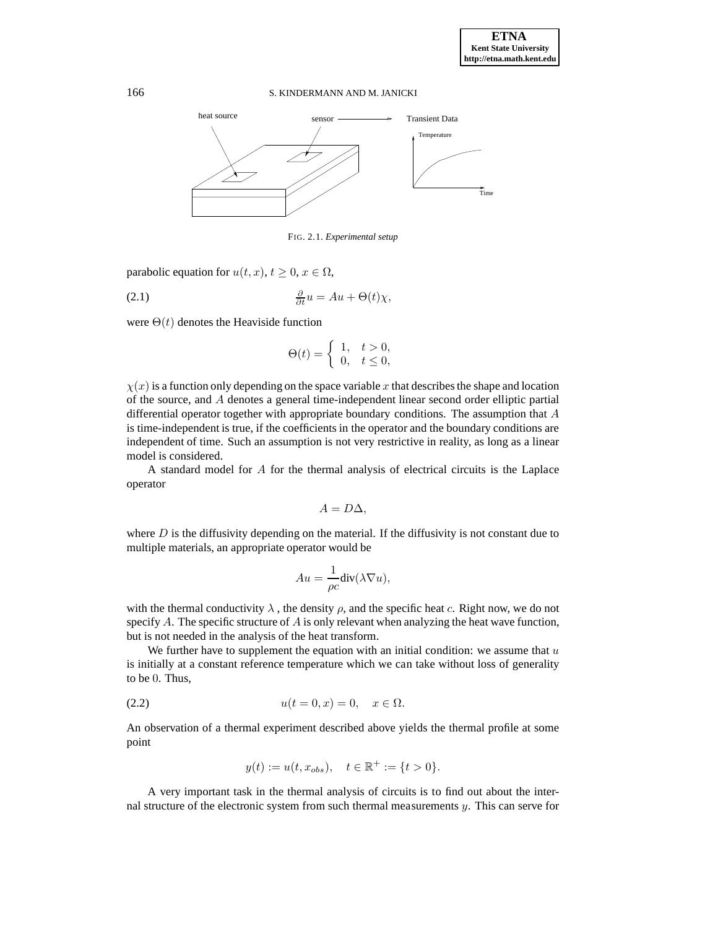

FIG. 2.1. *Experimental setup*

parabolic equation for  $u(t, x)$ ,  $t > 0$ ,  $x \in \Omega$ ,

<span id="page-2-0"></span>(2.1) 
$$
\frac{\partial}{\partial t}u = Au + \Theta(t)\chi,
$$

were  $\Theta(t)$  denotes the Heaviside function

$$
\Theta(t) = \begin{cases} 1, & t > 0, \\ 0, & t \le 0, \end{cases}
$$

 $\chi(x)$  is a function only depending on the space variable x that describes the shape and location of the source, and A denotes a general time-independent linear second order elliptic partial differential operator together with appropriate boundary conditions. The assumption that A is time-independent is true, if the coefficients in the operator and the boundary conditions are independent of time. Such an assumption is not very restrictive in reality, as long as a linear model is considered.

A standard model for A for the thermal analysis of electrical circuits is the Laplace operator

$$
A=D\Delta,
$$

where  $D$  is the diffusivity depending on the material. If the diffusivity is not constant due to multiple materials, an appropriate operator would be

$$
Au = \frac{1}{\rho c} \text{div}(\lambda \nabla u),
$$

with the thermal conductivity  $\lambda$ , the density  $\rho$ , and the specific heat c. Right now, we do not specify A. The specific structure of  $A$  is only relevant when analyzing the heat wave function, but is not needed in the analysis of the heat transform.

We further have to supplement the equation with an initial condition: we assume that  $u$ is initially at a constant reference temperature which we can take without loss of generality to be 0. Thus,

(2.2) 
$$
u(t = 0, x) = 0, \quad x \in \Omega.
$$

An observation of a thermal experiment described above yields the thermal profile at some point

$$
y(t) := u(t, x_{obs}), \quad t \in \mathbb{R}^+ := \{t > 0\}.
$$

A very important task in the thermal analysis of circuits is to find out about the internal structure of the electronic system from such thermal measurements  $y$ . This can serve for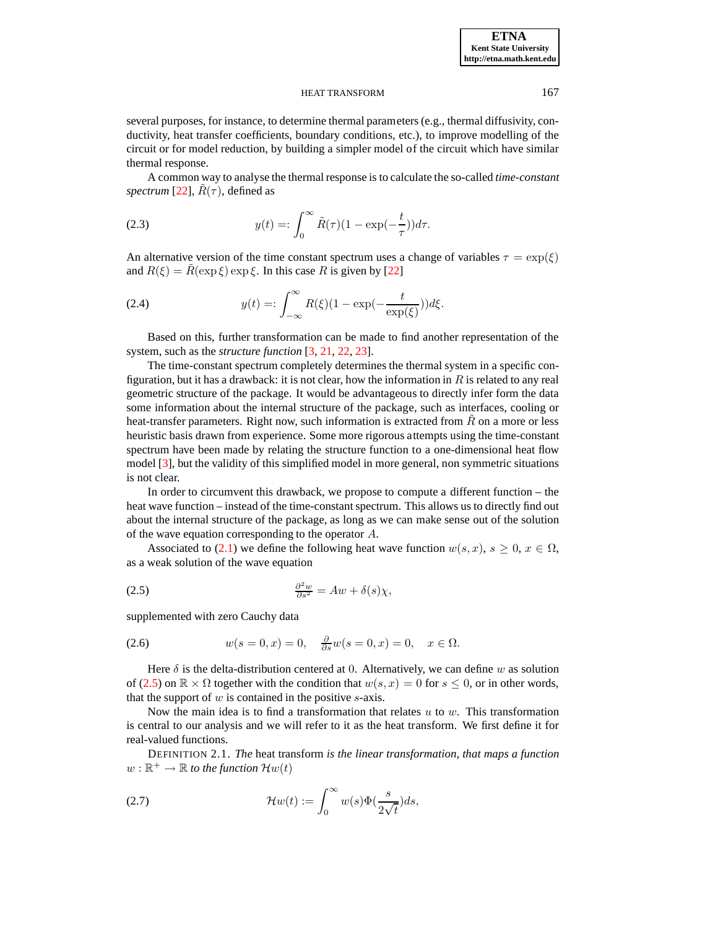several purposes, for instance, to determine thermal parameters (e.g., thermal diffusivity, conductivity, heat transfer coefficients, boundary conditions, etc.), to improve modelling of the circuit or for model reduction, by building a simpler model of the circuit which have similar thermal response.

A common way to analyse the thermal response is to calculate the so-called *time-constant spectrum* [\[22\]](#page-20-7),  $R(\tau)$ , defined as

<span id="page-3-3"></span>(2.3) 
$$
y(t) = \int_0^\infty \tilde{R}(\tau)(1 - \exp(-\frac{t}{\tau}))d\tau.
$$

An alternative version of the time constant spectrum uses a change of variables  $\tau = \exp(\xi)$ and  $R(\xi) = \tilde{R}(\exp \xi) \exp \xi$ . In this case R is given by [\[22\]](#page-20-7)

<span id="page-3-4"></span>(2.4) 
$$
y(t) = \int_{-\infty}^{\infty} R(\xi)(1 - \exp(-\frac{t}{\exp(\xi)}))d\xi.
$$

Based on this, further transformation can be made to find another representation of the system, such as the *structure function* [\[3,](#page-19-0) [21,](#page-20-6) [22,](#page-20-7) [23\]](#page-20-8).

The time-constant spectrum completely determines the thermal system in a specific configuration, but it has a drawback: it is not clear, how the information in  $R$  is related to any real geometric structure of the package. It would be advantageous to directly infer form the data some information about the internal structure of the package, such as interfaces, cooling or heat-transfer parameters. Right now, such information is extracted from  $R$  on a more or less heuristic basis drawn from experience. Some more rigorous attempts using the time-constant spectrum have been made by relating the structure function to a one-dimensional heat flow model [\[3\]](#page-19-0), but the validity of this simplified model in more general, non symmetric situations is not clear.

In order to circumvent this drawback, we propose to compute a different function – the heat wave function – instead of the time-constant spectrum. This allows us to directly find out about the internal structure of the package, as long as we can make sense out of the solution of the wave equation corresponding to the operator A.

Associated to [\(2.1\)](#page-2-0) we define the following heat wave function  $w(s, x)$ ,  $s \ge 0$ ,  $x \in \Omega$ , as a weak solution of the wave equation

<span id="page-3-0"></span>(2.5) 
$$
\frac{\partial^2 w}{\partial s^2} = Aw + \delta(s)\chi,
$$

supplemented with zero Cauchy data

<span id="page-3-2"></span>(2.6) 
$$
w(s=0,x)=0, \quad \frac{\partial}{\partial s}w(s=0,x)=0, \quad x \in \Omega.
$$

Here  $\delta$  is the delta-distribution centered at 0. Alternatively, we can define w as solution of [\(2.5\)](#page-3-0) on  $\mathbb{R} \times \Omega$  together with the condition that  $w(s, x) = 0$  for  $s \leq 0$ , or in other words, that the support of  $w$  is contained in the positive  $s$ -axis.

Now the main idea is to find a transformation that relates  $u$  to  $w$ . This transformation is central to our analysis and we will refer to it as the heat transform. We first define it for real-valued functions.

DEFINITION 2.1. *The* heat transform *is the linear transformation, that maps a function*  $w:\mathbb{R}^+\rightarrow\mathbb{R}$  to the function  $\mathcal{H}w(t)$ 

<span id="page-3-1"></span>(2.7) 
$$
\mathcal{H}w(t) := \int_0^\infty w(s)\Phi(\frac{s}{2\sqrt{t}})ds,
$$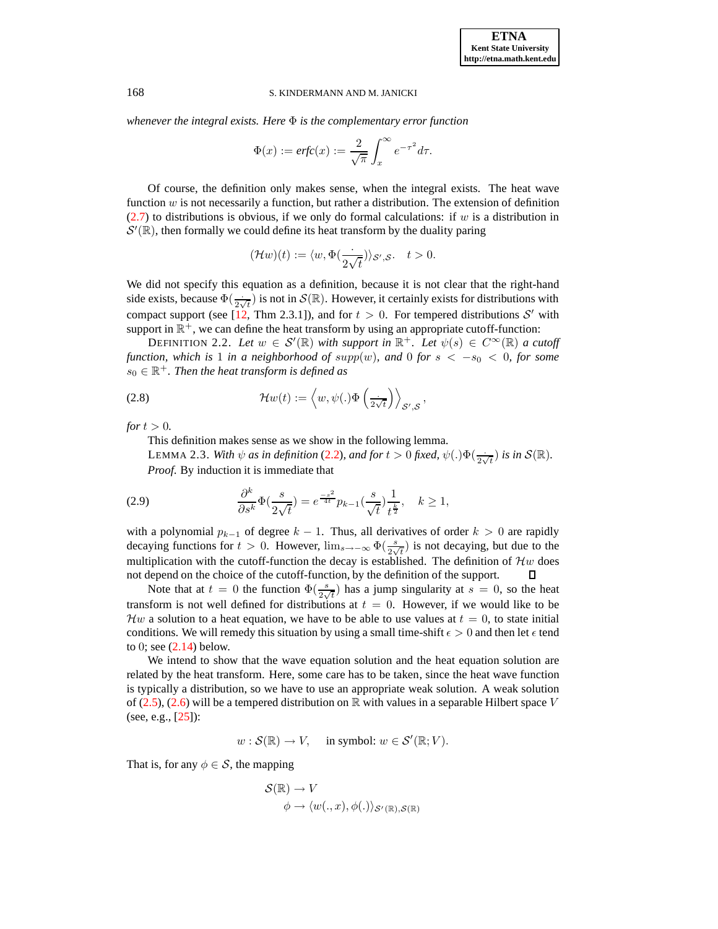*whenever the integral exists. Here* Φ *is the complementary error function*

$$
\Phi(x) := \text{erfc}(x) := \frac{2}{\sqrt{\pi}} \int_x^{\infty} e^{-\tau^2} d\tau.
$$

Of course, the definition only makes sense, when the integral exists. The heat wave function  $w$  is not necessarily a function, but rather a distribution. The extension of definition  $(2.7)$  to distributions is obvious, if we only do formal calculations: if w is a distribution in  $\mathcal{S}'(\mathbb{R})$ , then formally we could define its heat transform by the duality paring

$$
(\mathcal{H}w)(t) := \langle w, \Phi(\frac{\cdot}{2\sqrt{t}}) \rangle_{\mathcal{S}',\mathcal{S}}.\quad t > 0.
$$

We did not specify this equation as a definition, because it is not clear that the right-hand side exists, because  $\Phi(\frac{1}{2\sqrt{t}})$  is not in  $\mathcal{S}(\mathbb{R})$ . However, it certainly exists for distributions with compact support (see [\[12,](#page-20-9) Thm 2.3.1]), and for  $t > 0$ . For tempered distributions S' with support in  $\mathbb{R}^+$ , we can define the heat transform by using an appropriate cutoff-function:

<span id="page-4-0"></span>DEFINITION 2.2. *Let*  $w \in S'(\mathbb{R})$  *with support in*  $\mathbb{R}^+$ *. Let*  $\psi(s) \in C^{\infty}(\mathbb{R})$  *a cutoff function, which is* 1 *in a neighborhood of supp(w), and* 0 *for*  $s < -s_0 < 0$ , *for some*  $s_0 \in \mathbb{R}^+$ . Then the heat transform is defined as

(2.8) 
$$
\mathcal{H}w(t) := \left\langle w, \psi(.)\Phi\left(\frac{1}{2\sqrt{t}}\right)\right\rangle_{\mathcal{S}',\mathcal{S}},
$$

*for*  $t > 0$ *.* 

This definition makes sense as we show in the following lemma.

LEMMA 2.3. *With*  $\psi$  *as in definition* [\(2.2\)](#page-4-0), *and for*  $t > 0$  *fixed*,  $\psi(.)\Phi(\frac{1}{2\sqrt{t}})$  *is in*  $S(\mathbb{R})$ *. Proof*. By induction it is immediate that

<span id="page-4-1"></span>(2.9) 
$$
\frac{\partial^k}{\partial s^k} \Phi(\frac{s}{2\sqrt{t}}) = e^{\frac{-s^2}{4t}} p_{k-1}(\frac{s}{\sqrt{t}}) \frac{1}{t^{\frac{k}{2}}}, \quad k \ge 1,
$$

with a polynomial  $p_{k-1}$  of degree  $k-1$ . Thus, all derivatives of order  $k > 0$  are rapidly decaying functions for  $t > 0$ . However,  $\lim_{s\to -\infty} \Phi(\frac{s}{2\sqrt{t}})$  is not decaying, but due to the multiplication with the cutoff-function the decay is established. The definition of  $\mathcal{H}w$  does not depend on the choice of the cutoff-function, by the definition of the support.

Note that at  $t = 0$  the function  $\Phi(\frac{s}{2\sqrt{t}})$  has a jump singularity at  $s = 0$ , so the heat transform is not well defined for distributions at  $t = 0$ . However, if we would like to be  $\mathcal{H}w$  a solution to a heat equation, we have to be able to use values at  $t = 0$ , to state initial conditions. We will remedy this situation by using a small time-shift  $\epsilon > 0$  and then let  $\epsilon$  tend to 0; see  $(2.14)$  below.

We intend to show that the wave equation solution and the heat equation solution are related by the heat transform. Here, some care has to be taken, since the heat wave function is typically a distribution, so we have to use an appropriate weak solution. A weak solution of [\(2.5\)](#page-3-0), [\(2.6\)](#page-3-2) will be a tempered distribution on  $\mathbb R$  with values in a separable Hilbert space V (see, e.g., [\[25\]](#page-20-10)):

$$
w: \mathcal{S}(\mathbb{R}) \to V, \quad \text{ in symbol: } w \in \mathcal{S}'(\mathbb{R}; V).
$$

That is, for any  $\phi \in \mathcal{S}$ , the mapping

$$
\mathcal{S}(\mathbb{R}) \to V
$$
  

$$
\phi \to \langle w(.,x), \phi(.) \rangle_{\mathcal{S}'(\mathbb{R}), \mathcal{S}(\mathbb{R})}
$$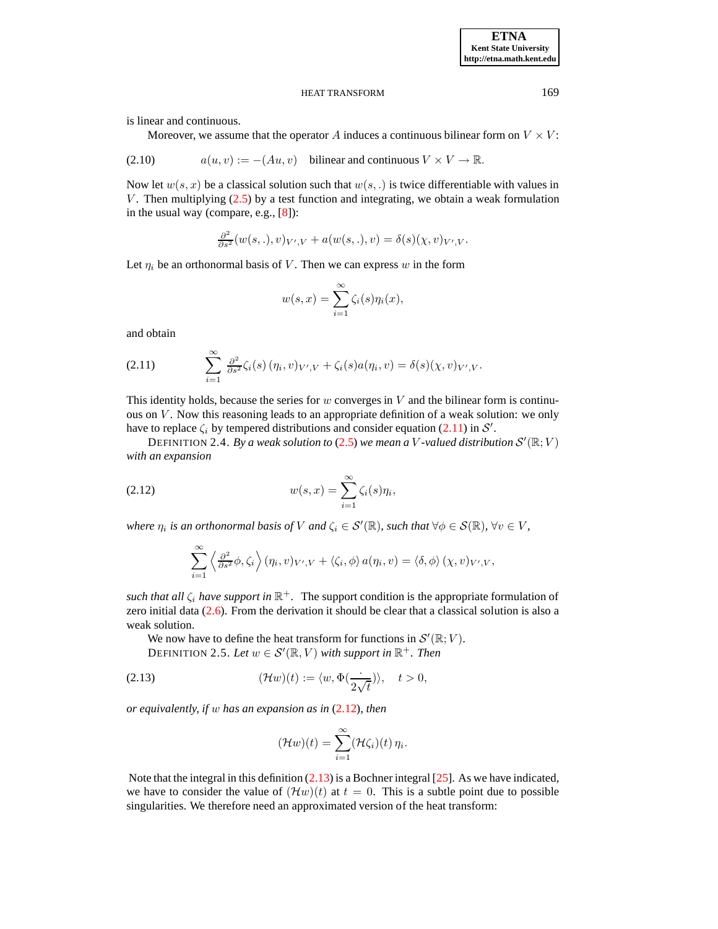is linear and continuous.

Moreover, we assume that the operator A induces a continuous bilinear form on  $V \times V$ :

<span id="page-5-4"></span>(2.10) 
$$
a(u, v) := -(Au, v)
$$
 bilinear and continuous  $V \times V \to \mathbb{R}$ .

Now let  $w(s, x)$  be a classical solution such that  $w(s, \cdot)$  is twice differentiable with values in V. Then multiplying  $(2.5)$  by a test function and integrating, we obtain a weak formulation in the usual way (compare, e.g., [\[8\]](#page-20-11)):

$$
\frac{\partial^2}{\partial s^2}(w(s,.),v)_{V',V} + a(w(s,.),v) = \delta(s)(\chi,v)_{V',V}.
$$

Let  $\eta_i$  be an orthonormal basis of V. Then we can express w in the form

$$
w(s,x) = \sum_{i=1}^{\infty} \zeta_i(s) \eta_i(x),
$$

and obtain

<span id="page-5-0"></span>(2.11) 
$$
\sum_{i=1}^{\infty} \frac{\partial^2}{\partial s^2} \zeta_i(s) (\eta_i, v)_{V',V} + \zeta_i(s) a(\eta_i, v) = \delta(s) (\chi, v)_{V',V}.
$$

This identity holds, because the series for  $w$  converges in  $V$  and the bilinear form is continuous on  $V$ . Now this reasoning leads to an appropriate definition of a weak solution: we only have to replace  $\zeta_i$  by tempered distributions and consider equation [\(2.11\)](#page-5-0) in S'.

<span id="page-5-3"></span>DEFINITION 2.4. By a weak solution to [\(2.5\)](#page-3-0) we mean a V-valued distribution  $\mathcal{S}'(\mathbb{R};V)$ *with an expansion*

(2.12) 
$$
w(s,x) = \sum_{i=1}^{\infty} \zeta_i(s) \eta_i,
$$

*where*  $\eta_i$  *is an orthonormal basis of*  $V$  *and*  $\zeta_i \in S'(\mathbb{R})$ *, such that*  $\forall \phi \in S(\mathbb{R})$ *,*  $\forall v \in V$ *,* 

<span id="page-5-1"></span>
$$
\sum_{i=1}^{\infty} \left\langle \frac{\partial^2}{\partial s^2} \phi, \zeta_i \right\rangle (\eta_i, v)_{V', V} + \left\langle \zeta_i, \phi \right\rangle a(\eta_i, v) = \left\langle \delta, \phi \right\rangle (\chi, v)_{V', V},
$$

*such that all*  $\zeta_i$  *have support in*  $\mathbb{R}^+$ . The support condition is the appropriate formulation of zero initial data [\(2.6\)](#page-3-2). From the derivation it should be clear that a classical solution is also a weak solution.

<span id="page-5-2"></span>We now have to define the heat transform for functions in  $\mathcal{S}'(\mathbb{R}; V)$ . DEFINITION 2.5. Let  $w \in \mathcal{S}'(\mathbb{R}, V)$  with support in  $\mathbb{R}^+$ . Then

(2.13) 
$$
(\mathcal{H}w)(t) := \langle w, \Phi(\frac{\cdot}{2\sqrt{t}}) \rangle, \quad t > 0,
$$

*or equivalently, if* w *has an expansion as in* [\(2.12\)](#page-5-1)*, then*

$$
(\mathcal{H}w)(t)=\sum_{i=1}^{\infty}(\mathcal{H}\zeta_i)(t)\,\eta_i.
$$

Note that the integral in this definition [\(2.13\)](#page-5-2) is a Bochner integral [\[25\]](#page-20-10). As we have indicated, we have to consider the value of  $(\mathcal{H}w)(t)$  at  $t = 0$ . This is a subtle point due to possible singularities. We therefore need an approximated version of the heat transform: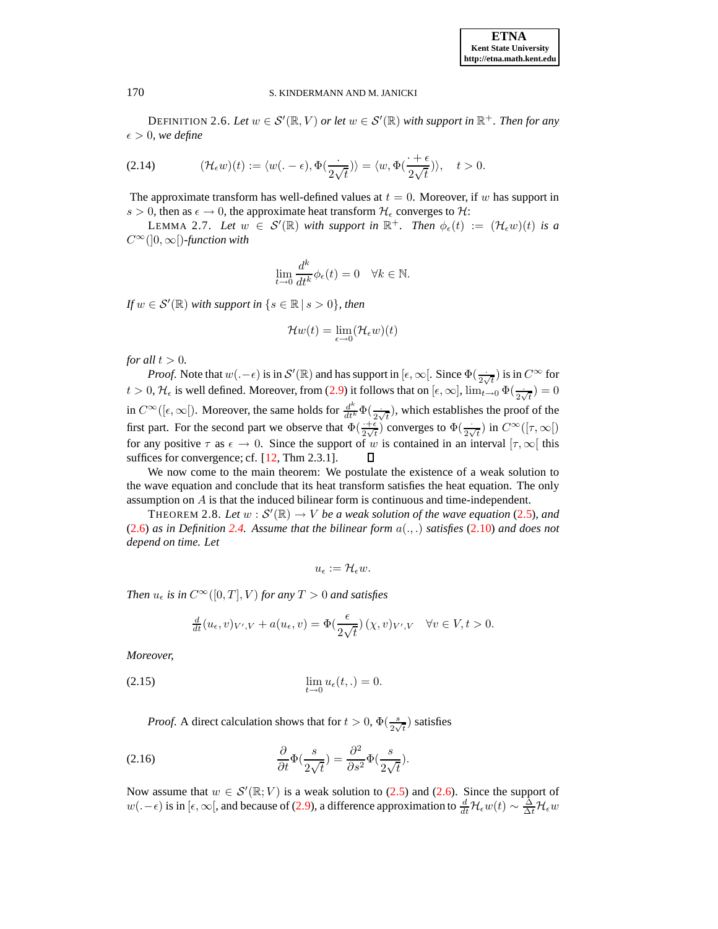DEFINITION 2.6. Let  $w \in \mathcal{S}'(\mathbb{R}, V)$  or let  $w \in \mathcal{S}'(\mathbb{R})$  with support in  $\mathbb{R}^+$ . Then for any  $\epsilon > 0$ , we define

<span id="page-6-1"></span>(2.14) 
$$
(\mathcal{H}_{\epsilon}w)(t) := \langle w(-\epsilon), \Phi(\frac{\cdot}{2\sqrt{t}}) \rangle = \langle w, \Phi(\frac{\cdot + \epsilon}{2\sqrt{t}}) \rangle, \quad t > 0.
$$

The approximate transform has well-defined values at  $t = 0$ . Moreover, if w has support in s > 0, then as  $\epsilon \to 0$ , the approximate heat transform  $\mathcal{H}_{\epsilon}$  converges to  $\mathcal{H}$ :

LEMMA 2.7. Let  $w \in S'(\mathbb{R})$  with support in  $\mathbb{R}^+$ . Then  $\phi_{\epsilon}(t) := (\mathcal{H}_{\epsilon}w)(t)$  is a  $C^{\infty}(]0,\infty[$ *)*-function with

<span id="page-6-4"></span>
$$
\lim_{t \to 0} \frac{d^k}{dt^k} \phi_{\epsilon}(t) = 0 \quad \forall k \in \mathbb{N}.
$$

*If*  $w \in \mathcal{S}'(\mathbb{R})$  *with support in*  $\{s \in \mathbb{R} \mid s > 0\}$ *, then* 

$$
\mathcal{H}w(t) = \lim_{\epsilon \to 0} (\mathcal{H}_{\epsilon}w)(t)
$$

*for all*  $t > 0$ *.* 

*Proof.* Note that  $w(.-\epsilon)$  is in  $\mathcal{S}'(\mathbb{R})$  and has support in  $[\epsilon, \infty[$ . Since  $\Phi(\frac{.}{2\sqrt{t}})$  is in  $C^{\infty}$  for  $t > 0$ ,  $\mathcal{H}_{\epsilon}$  is well defined. Moreover, from [\(2.9\)](#page-4-1) it follows that on  $[\epsilon, \infty]$ ,  $\lim_{t \to 0} \Phi(\frac{1}{2\sqrt{t}}) = 0$ in  $C^{\infty}([\epsilon,\infty])$ . Moreover, the same holds for  $\frac{d^k}{dt^k}\Phi(\frac{\cdot}{2\sqrt{t}})$ , which establishes the proof of the first part. For the second part we observe that  $\Phi(\frac{+ \epsilon}{2 \sqrt{t}})$  converges to  $\Phi(\frac{.}{2 \sqrt{t}})$  in  $C^{\infty}([\tau, \infty])$ for any positive  $\tau$  as  $\epsilon \to 0$ . Since the support of w is contained in an interval  $[\tau, \infty]$  this suffices for convergence; cf. [\[12,](#page-20-9) Thm 2.3.1].

We now come to the main theorem: We postulate the existence of a weak solution to the wave equation and conclude that its heat transform satisfies the heat equation. The only assumption on A is that the induced bilinear form is continuous and time-independent.

THEOREM 2.8. Let  $w : \mathcal{S}'(\mathbb{R}) \to V$  *be a weak solution of the wave equation* [\(2.5\)](#page-3-0)*, and* [\(2.6\)](#page-3-2) *as in Definition* [2.4.](#page-5-3) Assume that the bilinear form  $a(.,.)$  *satisfies* [\(2.10\)](#page-5-4) *and does not depend on time. Let*

<span id="page-6-0"></span>
$$
u_{\epsilon}:=\mathcal{H}_{\epsilon}w.
$$

*Then*  $u_{\epsilon}$  *is in*  $C^{\infty}([0, T], V)$  *for any*  $T > 0$  *and satisfies* 

<span id="page-6-3"></span>
$$
\frac{d}{dt}(u_{\epsilon},v)_{V',V} + a(u_{\epsilon},v) = \Phi(\frac{\epsilon}{2\sqrt{t}})(\chi,v)_{V',V} \quad \forall v \in V, t > 0.
$$

*Moreover,*

(2.15) 
$$
\lim_{t \to 0} u_{\epsilon}(t,.) = 0.
$$

<span id="page-6-2"></span>*Proof.* A direct calculation shows that for  $t > 0$ ,  $\Phi\left(\frac{s}{2\sqrt{t}}\right)$  satisfies

(2.16) 
$$
\frac{\partial}{\partial t} \Phi(\frac{s}{2\sqrt{t}}) = \frac{\partial^2}{\partial s^2} \Phi(\frac{s}{2\sqrt{t}}).
$$

Now assume that  $w \in \mathcal{S}'(\mathbb{R}; V)$  is a weak solution to [\(2.5\)](#page-3-0) and [\(2.6\)](#page-3-2). Since the support of  $w(.-\epsilon)$  is in [ $\epsilon, \infty$ [, and because of [\(2.9\)](#page-4-1), a difference approximation to  $\frac{d}{dt}H_{\epsilon}w(t) \sim \frac{\Delta}{\Delta t}H_{\epsilon}w$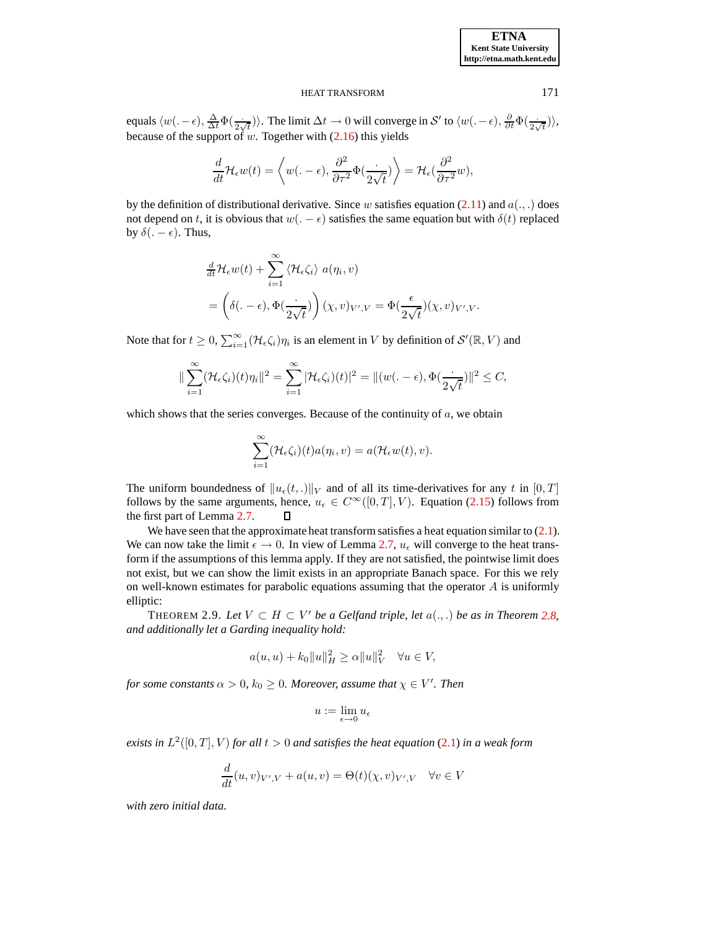equals  $\langle w(.-\epsilon), \frac{\Delta}{\Delta t} \Phi(\frac{.}{2\sqrt{t}}) \rangle$ . The limit  $\Delta t \to 0$  will converge in S' to  $\langle w(.-\epsilon), \frac{\partial}{\partial t} \Phi(\frac{.}{2\sqrt{t}}) \rangle$ , because of the support of  $w$ . Together with  $(2.16)$  this yields

$$
\frac{d}{dt}\mathcal{H}_{\epsilon}w(t)=\left\langle w(.-\,\epsilon),\frac{\partial^2}{\partial\tau^2}\Phi(\frac{\cdot}{2\sqrt{t}})\right\rangle=\mathcal{H}_{\epsilon}(\frac{\partial^2}{\partial\tau^2}w),
$$

by the definition of distributional derivative. Since w satisfies equation [\(2.11\)](#page-5-0) and  $a(.,.)$  does not depend on t, it is obvious that  $w(.-\epsilon)$  satisfies the same equation but with  $\delta(t)$  replaced by  $\delta(.-\epsilon)$ . Thus,

$$
\frac{d}{dt}\mathcal{H}_{\epsilon}w(t) + \sum_{i=1}^{\infty} \langle \mathcal{H}_{\epsilon}\zeta_{i} \rangle a(\eta_{i}, v) \n= \left( \delta(.-\epsilon), \Phi(\frac{\cdot}{2\sqrt{t}}) \right) (\chi, v)_{V',V} = \Phi(\frac{\epsilon}{2\sqrt{t}})(\chi, v)_{V',V}.
$$

Note that for  $t \geq 0$ ,  $\sum_{i=1}^{\infty} (\mathcal{H}_{\epsilon} \zeta_i) \eta_i$  is an element in V by definition of  $\mathcal{S}'(\mathbb{R}, V)$  and

$$
\|\sum_{i=1}^{\infty}(\mathcal{H}_{\epsilon}\zeta_i)(t)\eta_i\|^2=\sum_{i=1}^{\infty}|\mathcal{H}_{\epsilon}\zeta_i)(t)|^2=\|(w(\epsilon-\epsilon),\Phi(\frac{\epsilon}{2\sqrt{t}})\|^2\leq C,
$$

which shows that the series converges. Because of the continuity of  $a$ , we obtain

$$
\sum_{i=1}^{\infty} (\mathcal{H}_{\epsilon}\zeta_i)(t) a(\eta_i, v) = a(\mathcal{H}_{\epsilon}w(t), v).
$$

The uniform boundedness of  $||u_\epsilon(t,.)||_V$  and of all its time-derivatives for any t in [0, T] follows by the same arguments, hence,  $u_{\epsilon} \in C^{\infty}([0, T], V)$ . Equation [\(2.15\)](#page-6-3) follows from the first part of Lemma 2.7. the first part of Lemma [2.7.](#page-6-4)

We have seen that the approximate heat transform satisfies a heat equation similar to  $(2.1)$ . We can now take the limit  $\epsilon \to 0$ . In view of Lemma [2.7,](#page-6-4)  $u_{\epsilon}$  will converge to the heat transform if the assumptions of this lemma apply. If they are not satisfied, the pointwise limit does not exist, but we can show the limit exists in an appropriate Banach space. For this we rely on well-known estimates for parabolic equations assuming that the operator  $A$  is uniformly elliptic:

<span id="page-7-0"></span>THEOREM 2.9. Let  $V \subset H \subset V'$  be a Gelfand triple, let  $a(.,.)$  be as in Theorem [2.8,](#page-6-0) *and additionally let a Garding inequality hold:*

$$
a(u, u) + k_0 ||u||_H^2 \ge \alpha ||u||_V^2 \quad \forall u \in V
$$

*for some constants*  $\alpha > 0$ ,  $k_0 \geq 0$ . Moreover, assume that  $\chi \in V'$ . Then

$$
u:=\lim_{\epsilon\to 0}u_\epsilon
$$

*exists in*  $L^2([0,T], V)$  *for all*  $t > 0$  *and satisfies the heat equation* [\(2.1\)](#page-2-0) *in a weak form* 

$$
\frac{d}{dt}(u,v)_{V',V} + a(u,v) = \Theta(t)(\chi,v)_{V',V} \quad \forall v \in V
$$

*with zero initial data.*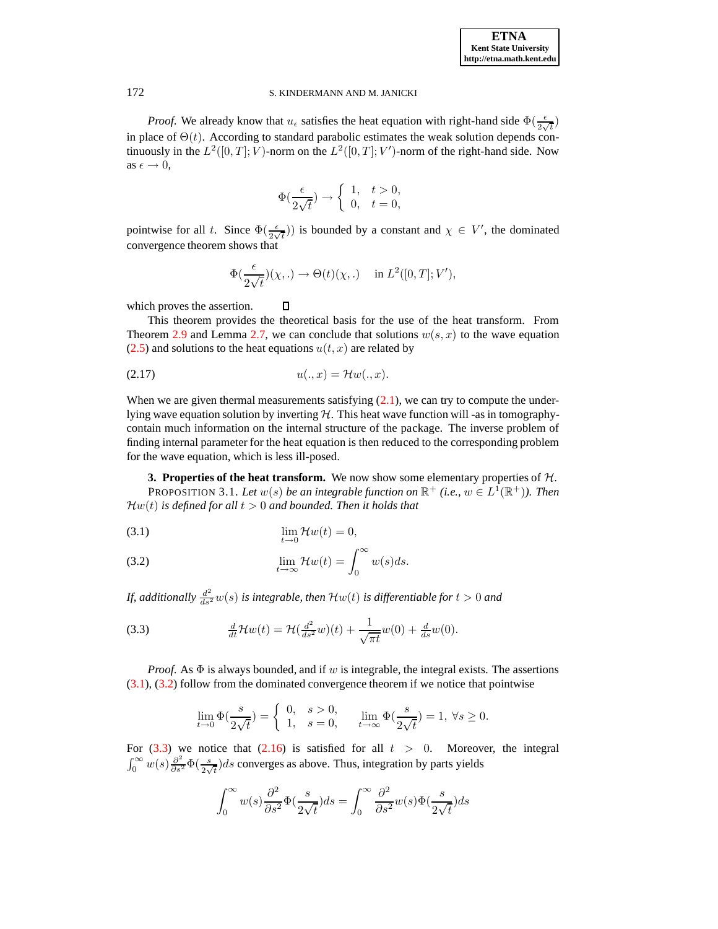*Proof.* We already know that  $u_\epsilon$  satisfies the heat equation with right-hand side  $\Phi(\frac{\epsilon}{2\sqrt{t}})$ in place of  $\Theta(t)$ . According to standard parabolic estimates the weak solution depends continuously in the  $L^2([0,T]; V)$ -norm on the  $L^2([0,T]; V')$ -norm of the right-hand side. Now as  $\epsilon \to 0$ ,

$$
\Phi(\frac{\epsilon}{2\sqrt{t}}) \to \left\{ \begin{array}{ll} 1, & t>0, \\ 0, & t=0, \end{array} \right.
$$

pointwise for all t. Since  $\Phi(\frac{\epsilon}{2\sqrt{t}})$  is bounded by a constant and  $\chi \in V'$ , the dominated convergence theorem shows that

$$
\Phi(\frac{\epsilon}{2\sqrt{t}})(\chi,.) \to \Theta(t)(\chi,.) \quad \text{ in } L^2([0,T];V'),
$$

which proves the assertion.

This theorem provides the theoretical basis for the use of the heat transform. From Theorem [2.9](#page-7-0) and Lemma [2.7,](#page-6-4) we can conclude that solutions  $w(s, x)$  to the wave equation  $(2.5)$  and solutions to the heat equations  $u(t, x)$  are related by

<span id="page-8-3"></span>
$$
(2.17) \t u(.,x) = \mathcal{H}w(.,x).
$$

Д

When we are given thermal measurements satisfying  $(2.1)$ , we can try to compute the underlying wave equation solution by inverting  $H$ . This heat wave function will -as in tomographycontain much information on the internal structure of the package. The inverse problem of finding internal parameter for the heat equation is then reduced to the corresponding problem for the wave equation, which is less ill-posed.

<span id="page-8-0"></span>**3. Properties of the heat transform.** We now show some elementary properties of  $H$ . PROPOSITION 3.1. Let  $w(s)$  be an integrable function on  $\mathbb{R}^+$  (i.e.,  $w \in L^1(\mathbb{R}^+)$ ). Then  $\mathcal{H}w(t)$  *is defined for all*  $t > 0$  *and bounded. Then it holds that* 

<span id="page-8-1"></span>
$$
\lim_{t \to 0} \mathcal{H}w(t) = 0,
$$

(3.2) 
$$
\lim_{t \to \infty} \mathcal{H}w(t) = \int_0^\infty w(s)ds.
$$

*If, additionally*  $\frac{d^2}{ds^2} w(s)$  *is integrable, then*  $\mathcal{H} w(t)$  *is differentiable for*  $t > 0$  *and* 

<span id="page-8-2"></span>(3.3) 
$$
\frac{d}{dt} \mathcal{H}w(t) = \mathcal{H}(\frac{d^2}{ds^2}w)(t) + \frac{1}{\sqrt{\pi t}}w(0) + \frac{d}{ds}w(0).
$$

*Proof.* As Φ is always bounded, and if w is integrable, the integral exists. The assertions [\(3.1\)](#page-8-1), [\(3.2\)](#page-8-1) follow from the dominated convergence theorem if we notice that pointwise

$$
\lim_{t \to 0} \Phi(\frac{s}{2\sqrt{t}}) = \begin{cases} 0, & s > 0, \\ 1, & s = 0, \end{cases} \quad \lim_{t \to \infty} \Phi(\frac{s}{2\sqrt{t}}) = 1, \ \forall s \ge 0.
$$

For  $(3.3)$  we notice that  $(2.16)$  is satisfied for all  $t > 0$ . Moreover, the integral  $\int_0^\infty w(s) \frac{\partial^2}{\partial s^2} \Phi\left(\frac{s}{2\sqrt{t}}\right) ds$  converges as above. Thus, integration by parts yields

$$
\int_0^\infty w(s) \frac{\partial^2}{\partial s^2} \Phi(\frac{s}{2\sqrt{t}}) ds = \int_0^\infty \frac{\partial^2}{\partial s^2} w(s) \Phi(\frac{s}{2\sqrt{t}}) ds
$$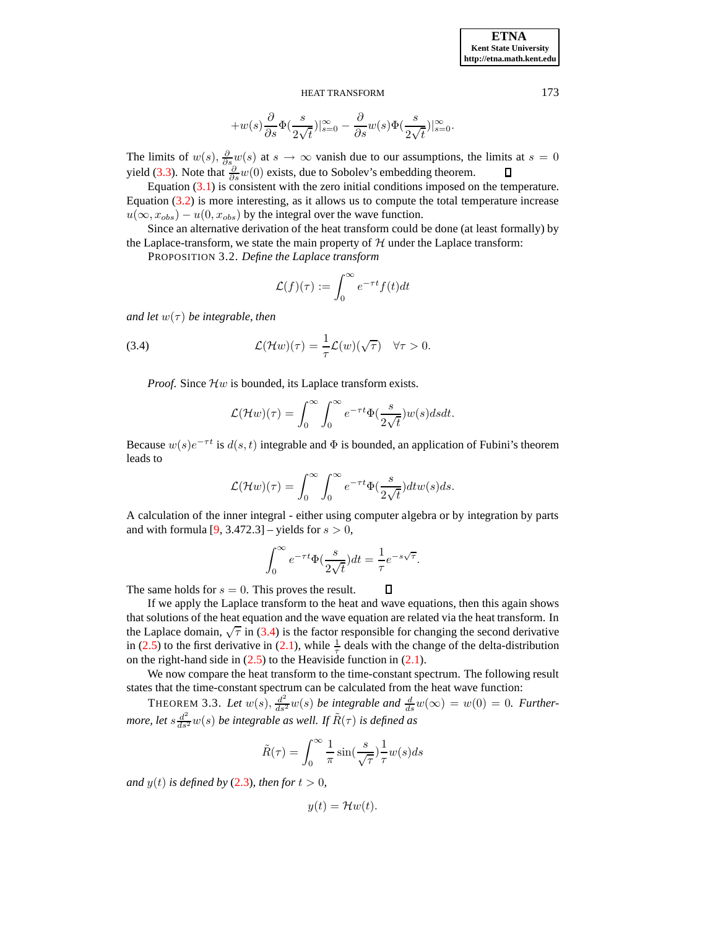$$
+w(s)\frac{\partial}{\partial s}\Phi(\frac{s}{2\sqrt{t}})|_{s=0}^\infty-\frac{\partial}{\partial s}w(s)\Phi(\frac{s}{2\sqrt{t}})|_{s=0}^\infty.
$$

The limits of  $w(s)$ ,  $\frac{\partial}{\partial s}w(s)$  at  $s \to \infty$  vanish due to our assumptions, the limits at  $s = 0$ yield [\(3.3\)](#page-8-2). Note that  $\frac{\partial}{\partial s}w(0)$  exists, due to Sobolev's embedding theorem.

Equation  $(3.1)$  is consistent with the zero initial conditions imposed on the temperature. Equation [\(3.2\)](#page-8-1) is more interesting, as it allows us to compute the total temperature increase  $u(\infty, x_{obs}) - u(0, x_{obs})$  by the integral over the wave function.

Since an alternative derivation of the heat transform could be done (at least formally) by the Laplace-transform, we state the main property of  $H$  under the Laplace transform:

PROPOSITION 3.2. *Define the Laplace transform*

$$
\mathcal{L}(f)(\tau) := \int_0^\infty e^{-\tau t} f(t) dt
$$

*and let*  $w(\tau)$  *be integrable, then* 

<span id="page-9-0"></span>(3.4) 
$$
\mathcal{L}(\mathcal{H}w)(\tau) = \frac{1}{\tau}\mathcal{L}(w)(\sqrt{\tau}) \quad \forall \tau > 0.
$$

*Proof.* Since  $\mathcal{H}w$  is bounded, its Laplace transform exists.

$$
\mathcal{L}(\mathcal{H}w)(\tau) = \int_0^\infty \int_0^\infty e^{-\tau t} \Phi(\frac{s}{2\sqrt{t}}) w(s) ds dt.
$$

Because  $w(s)e^{-\tau t}$  is  $d(s, t)$  integrable and  $\Phi$  is bounded, an application of Fubini's theorem leads to

$$
\mathcal{L}(\mathcal{H}w)(\tau) = \int_0^\infty \int_0^\infty e^{-\tau t} \Phi(\frac{s}{2\sqrt{t}}) dt w(s) ds.
$$

A calculation of the inner integral - either using computer algebra or by integration by parts and with formula  $[9, 3.472.3]$  – yields for  $s > 0$ ,

$$
\int_0^\infty e^{-\tau t} \Phi(\frac{s}{2\sqrt{t}}) dt = \frac{1}{\tau} e^{-s\sqrt{\tau}}.
$$

<span id="page-9-1"></span> $\Box$ 

The same holds for  $s = 0$ . This proves the result.

If we apply the Laplace transform to the heat and wave equations, then this again shows that solutions of the heat equation and the wave equation are related via the heat transform. In the Laplace domain,  $\sqrt{\tau}$  in [\(3.4\)](#page-9-0) is the factor responsible for changing the second derivative in [\(2.5\)](#page-3-0) to the first derivative in [\(2.1\)](#page-2-0), while  $\frac{1}{\tau}$  deals with the change of the delta-distribution on the right-hand side in  $(2.5)$  to the Heaviside function in  $(2.1)$ .

We now compare the heat transform to the time-constant spectrum. The following result states that the time-constant spectrum can be calculated from the heat wave function:

THEOREM 3.3. Let  $w(s)$ ,  $\frac{d^2}{ds^2}w(s)$  be integrable and  $\frac{d}{ds}w(\infty) = w(0) = 0$ . Further*more, let*  $s \frac{d^2}{ds^2} w(s)$  *be integrable as well. If*  $\tilde{R}(\tau)$  *is defined as* 

$$
\tilde{R}(\tau) = \int_0^\infty \frac{1}{\pi} \sin(\frac{s}{\sqrt{\tau}}) \frac{1}{\tau} w(s) ds
$$

*and*  $y(t)$  *is defined by* [\(2.3\)](#page-3-3)*, then for*  $t > 0$ *,* 

$$
y(t) = \mathcal{H}w(t).
$$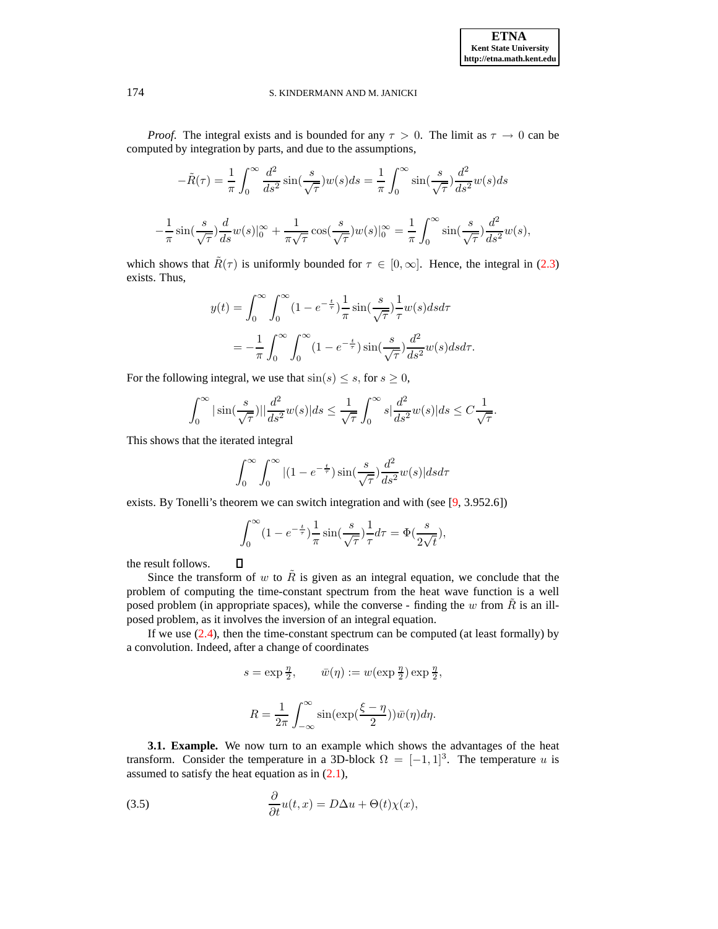*Proof.* The integral exists and is bounded for any  $\tau > 0$ . The limit as  $\tau \to 0$  can be computed by integration by parts, and due to the assumptions,

$$
-\tilde{R}(\tau) = \frac{1}{\pi} \int_0^\infty \frac{d^2}{ds^2} \sin(\frac{s}{\sqrt{\tau}}) w(s) ds = \frac{1}{\pi} \int_0^\infty \sin(\frac{s}{\sqrt{\tau}}) \frac{d^2}{ds^2} w(s) ds
$$

$$
-\frac{1}{\pi} \sin(\frac{s}{\sqrt{\tau}}) \frac{d}{ds} w(s) \vert_0^\infty + \frac{1}{\pi \sqrt{\tau}} \cos(\frac{s}{\sqrt{\tau}}) w(s) \vert_0^\infty = \frac{1}{\pi} \int_0^\infty \sin(\frac{s}{\sqrt{\tau}}) \frac{d^2}{ds^2} w(s),
$$

which shows that  $\tilde{R}(\tau)$  is uniformly bounded for  $\tau \in [0,\infty]$ . Hence, the integral in [\(2.3\)](#page-3-3) exists. Thus,

$$
y(t) = \int_0^\infty \int_0^\infty (1 - e^{-\frac{t}{\tau}}) \frac{1}{\pi} \sin(\frac{s}{\sqrt{\tau}}) \frac{1}{\tau} w(s) ds d\tau
$$
  
= 
$$
-\frac{1}{\pi} \int_0^\infty \int_0^\infty (1 - e^{-\frac{t}{\tau}}) \sin(\frac{s}{\sqrt{\tau}}) \frac{d^2}{ds^2} w(s) ds d\tau.
$$

For the following integral, we use that  $sin(s) \leq s$ , for  $s \geq 0$ ,

$$
\int_0^\infty |\sin(\frac{s}{\sqrt{\tau}})||\frac{d^2}{ds^2}w(s)|ds \le \frac{1}{\sqrt{\tau}} \int_0^\infty s|\frac{d^2}{ds^2}w(s)|ds \le C\frac{1}{\sqrt{\tau}}.
$$

This shows that the iterated integral

 $\Box$ 

$$
\int_0^\infty \int_0^\infty |(1 - e^{-\frac{t}{\tau}}) \sin(\frac{s}{\sqrt{\tau}}) \frac{d^2}{ds^2} w(s)| ds d\tau
$$

exists. By Tonelli's theorem we can switch integration and with (see [\[9,](#page-20-12) 3.952.6])

$$
\int_0^\infty (1 - e^{-\frac{t}{\tau}}) \frac{1}{\pi} \sin(\frac{s}{\sqrt{\tau}}) \frac{1}{\tau} d\tau = \Phi(\frac{s}{2\sqrt{t}}),
$$

the result follows.

Since the transform of w to  $\tilde{R}$  is given as an integral equation, we conclude that the problem of computing the time-constant spectrum from the heat wave function is a well posed problem (in appropriate spaces), while the converse - finding the w from  $\tilde{R}$  is an illposed problem, as it involves the inversion of an integral equation.

If we use  $(2.4)$ , then the time-constant spectrum can be computed (at least formally) by a convolution. Indeed, after a change of coordinates

$$
s = \exp \frac{\eta}{2}, \qquad \bar{w}(\eta) := w(\exp \frac{\eta}{2}) \exp \frac{\eta}{2},
$$

$$
R = \frac{1}{2\pi} \int_{-\infty}^{\infty} \sin(\exp(\frac{\xi - \eta}{2})) \bar{w}(\eta) d\eta.
$$

<span id="page-10-0"></span>**3.1. Example.** We now turn to an example which shows the advantages of the heat transform. Consider the temperature in a 3D-block  $\Omega = [-1, 1]^3$ . The temperature u is assumed to satisfy the heat equation as in  $(2.1)$ ,

<span id="page-10-1"></span>(3.5) 
$$
\frac{\partial}{\partial t}u(t,x) = D\Delta u + \Theta(t)\chi(x),
$$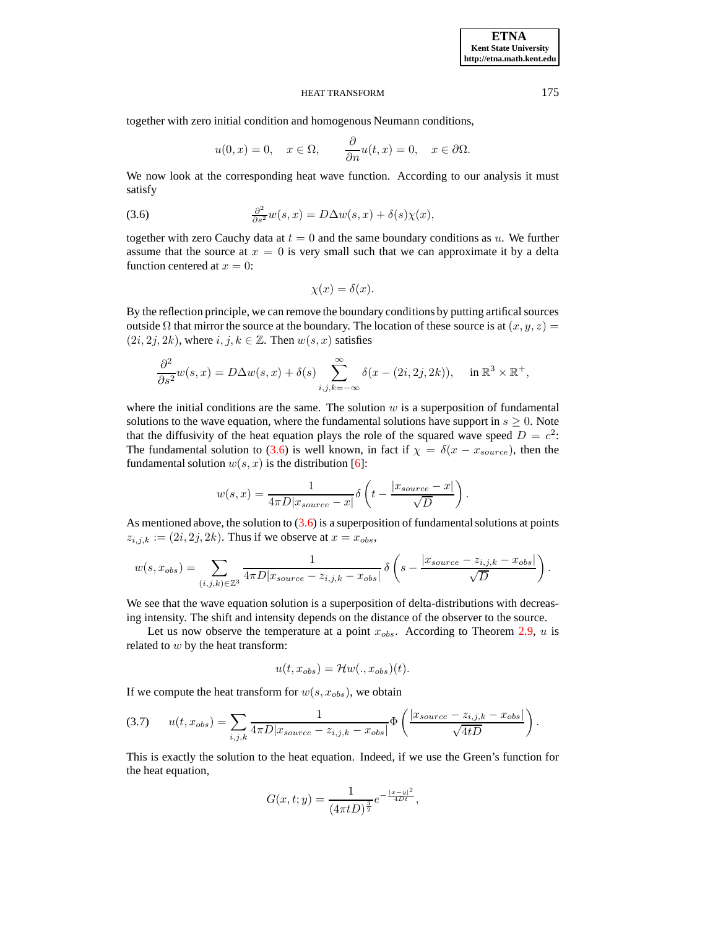together with zero initial condition and homogenous Neumann conditions,

$$
u(0, x) = 0
$$
,  $x \in \Omega$ ,  $\frac{\partial}{\partial n}u(t, x) = 0$ ,  $x \in \partial\Omega$ .

We now look at the corresponding heat wave function. According to our analysis it must satisfy

<span id="page-11-0"></span>(3.6) 
$$
\frac{\partial^2}{\partial s^2}w(s,x) = D\Delta w(s,x) + \delta(s)\chi(x),
$$

together with zero Cauchy data at  $t = 0$  and the same boundary conditions as u. We further assume that the source at  $x = 0$  is very small such that we can approximate it by a delta function centered at  $x = 0$ :

$$
\chi(x) = \delta(x).
$$

By the reflection principle, we can remove the boundary conditions by putting artifical sources outside  $\Omega$  that mirror the source at the boundary. The location of these source is at  $(x, y, z)$  =  $(2i, 2j, 2k)$ , where  $i, j, k \in \mathbb{Z}$ . Then  $w(s, x)$  satisfies

$$
\frac{\partial^2}{\partial s^2} w(s, x) = D\Delta w(s, x) + \delta(s) \sum_{i, j, k = -\infty}^{\infty} \delta(x - (2i, 2j, 2k)), \quad \text{in } \mathbb{R}^3 \times \mathbb{R}^+,
$$

where the initial conditions are the same. The solution  $w$  is a superposition of fundamental solutions to the wave equation, where the fundamental solutions have support in  $s \geq 0$ . Note that the diffusivity of the heat equation plays the role of the squared wave speed  $D = c^2$ . The fundamental solution to [\(3.6\)](#page-11-0) is well known, in fact if  $\chi = \delta(x - x_{source})$ , then the fundamental solution  $w(s, x)$  is the distribution [\[6\]](#page-20-13):

$$
w(s,x) = \frac{1}{4\pi D|x_{source} - x|} \delta\left(t - \frac{|x_{source} - x|}{\sqrt{D}}\right).
$$

As mentioned above, the solution to  $(3.6)$  is a superposition of fundamental solutions at points  $z_{i,j,k} := (2i, 2j, 2k)$ . Thus if we observe at  $x = x_{obs}$ ,

$$
w(s, x_{obs}) = \sum_{(i,j,k)\in\mathbb{Z}^3} \frac{1}{4\pi D|x_{source} - z_{i,j,k} - x_{obs}|} \delta\left(s - \frac{|x_{source} - z_{i,j,k} - x_{obs}|}{\sqrt{D}}\right).
$$

We see that the wave equation solution is a superposition of delta-distributions with decreasing intensity. The shift and intensity depends on the distance of the observer to the source.

Let us now observe the temperature at a point  $x_{obs}$ . According to Theorem [2.9,](#page-7-0) u is related to  $w$  by the heat transform:

$$
u(t, x_{obs}) = \mathcal{H}w(., x_{obs})(t).
$$

If we compute the heat transform for  $w(s, x_{obs})$ , we obtain

<span id="page-11-1"></span>(3.7) 
$$
u(t, x_{obs}) = \sum_{i,j,k} \frac{1}{4\pi D |x_{source} - z_{i,j,k} - x_{obs}|} \Phi\left(\frac{|x_{source} - z_{i,j,k} - x_{obs}|}{\sqrt{4tD}}\right).
$$

This is exactly the solution to the heat equation. Indeed, if we use the Green's function for the heat equation,

$$
G(x,t;y) = \frac{1}{(4\pi tD)^{\frac{3}{2}}}e^{-\frac{|x-y|^2}{4Dt}},
$$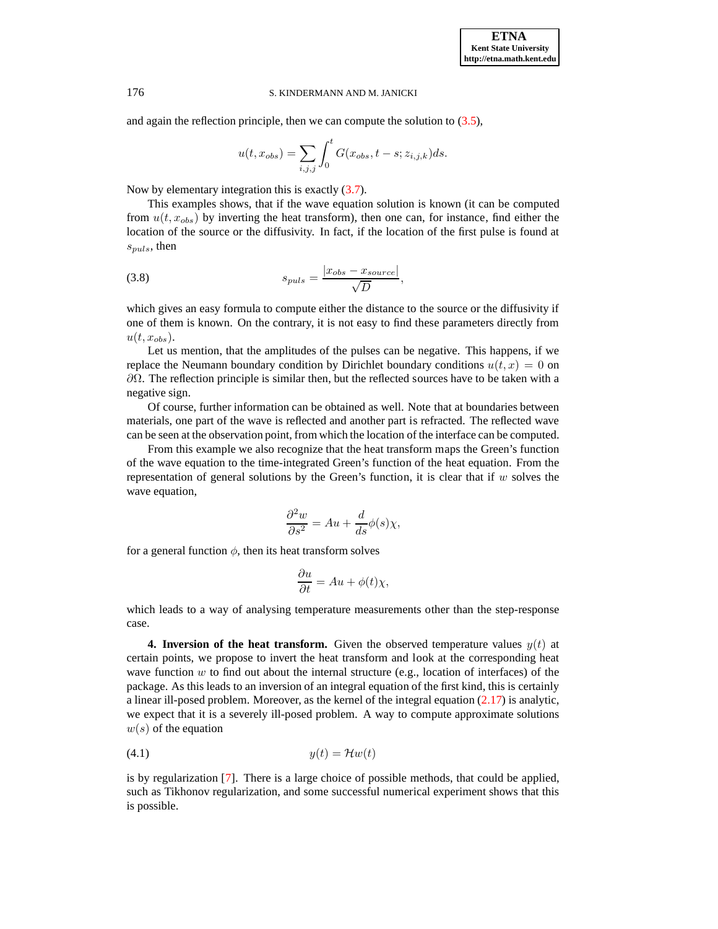and again the reflection principle, then we can compute the solution to [\(3.5\)](#page-10-1),

$$
u(t, x_{obs}) = \sum_{i,j,j} \int_0^t G(x_{obs}, t - s; z_{i,j,k}) ds.
$$

Now by elementary integration this is exactly [\(3.7\)](#page-11-1).

This examples shows, that if the wave equation solution is known (it can be computed from  $u(t, x_{obs})$  by inverting the heat transform), then one can, for instance, find either the location of the source or the diffusivity. In fact, if the location of the first pulse is found at  $s_{puls}$ , then

<span id="page-12-2"></span>(3.8) 
$$
s_{puls} = \frac{|x_{obs} - x_{source}|}{\sqrt{D}},
$$

which gives an easy formula to compute either the distance to the source or the diffusivity if one of them is known. On the contrary, it is not easy to find these parameters directly from  $u(t, x_{obs})$ .

Let us mention, that the amplitudes of the pulses can be negative. This happens, if we replace the Neumann boundary condition by Dirichlet boundary conditions  $u(t, x) = 0$  on  $\partial Ω$ . The reflection principle is similar then, but the reflected sources have to be taken with a negative sign.

Of course, further information can be obtained as well. Note that at boundaries between materials, one part of the wave is reflected and another part is refracted. The reflected wave can be seen at the observation point, from which the location of the interface can be computed.

From this example we also recognize that the heat transform maps the Green's function of the wave equation to the time-integrated Green's function of the heat equation. From the representation of general solutions by the Green's function, it is clear that if  $w$  solves the wave equation,

$$
\frac{\partial^2 w}{\partial s^2} = Au + \frac{d}{ds} \phi(s) \chi,
$$

for a general function  $\phi$ , then its heat transform solves

$$
\frac{\partial u}{\partial t} = Au + \phi(t)\chi,
$$

which leads to a way of analysing temperature measurements other than the step-response case.

<span id="page-12-0"></span>**4. Inversion of the heat transform.** Given the observed temperature values  $y(t)$  at certain points, we propose to invert the heat transform and look at the corresponding heat wave function  $w$  to find out about the internal structure (e.g., location of interfaces) of the package. As this leads to an inversion of an integral equation of the first kind, this is certainly a linear ill-posed problem. Moreover, as the kernel of the integral equation [\(2.17\)](#page-8-3) is analytic, we expect that it is a severely ill-posed problem. A way to compute approximate solutions  $w(s)$  of the equation

<span id="page-12-1"></span>
$$
(4.1) \t\t y(t) = \mathcal{H}w(t)
$$

is by regularization [\[7\]](#page-20-14). There is a large choice of possible methods, that could be applied, such as Tikhonov regularization, and some successful numerical experiment shows that this is possible.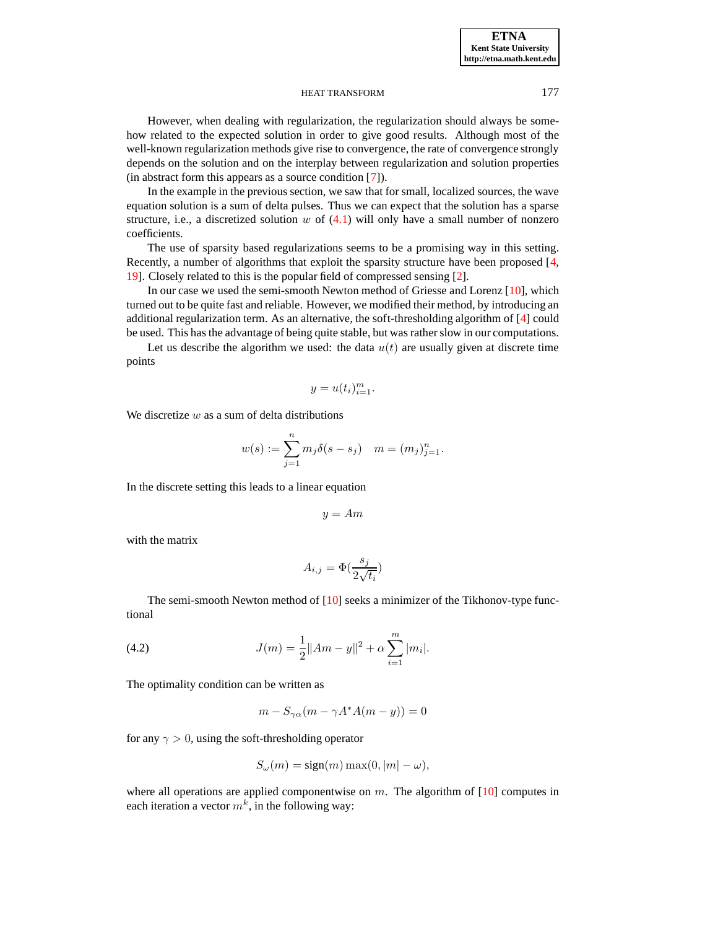However, when dealing with regularization, the regularization should always be somehow related to the expected solution in order to give good results. Although most of the well-known regularization methods give rise to convergence, the rate of convergence strongly depends on the solution and on the interplay between regularization and solution properties (in abstract form this appears as a source condition [\[7\]](#page-20-14)).

In the example in the previous section, we saw that for small, localized sources, the wave equation solution is a sum of delta pulses. Thus we can expect that the solution has a sparse structure, i.e., a discretized solution  $w$  of  $(4.1)$  will only have a small number of nonzero coefficients.

The use of sparsity based regularizations seems to be a promising way in this setting. Recently, a number of algorithms that exploit the sparsity structure have been proposed [\[4,](#page-20-15) [19\]](#page-20-16). Closely related to this is the popular field of compressed sensing [\[2\]](#page-19-1).

In our case we used the semi-smooth Newton method of Griesse and Lorenz [\[10\]](#page-20-17), which turned out to be quite fast and reliable. However, we modified their method, by introducing an additional regularization term. As an alternative, the soft-thresholding algorithm of  $[4]$  could be used. This has the advantage of being quite stable, but was rather slow in our computations.

Let us describe the algorithm we used: the data  $u(t)$  are usually given at discrete time points

$$
y = u(t_i)_{i=1}^m.
$$

We discretize  $w$  as a sum of delta distributions

$$
w(s) := \sum_{j=1}^{n} m_j \delta(s - s_j) \quad m = (m_j)_{j=1}^{n}.
$$

In the discrete setting this leads to a linear equation

$$
y = Am
$$

with the matrix

$$
A_{i,j} = \Phi(\frac{s_j}{2\sqrt{t_i}})
$$

The semi-smooth Newton method of [\[10\]](#page-20-17) seeks a minimizer of the Tikhonov-type functional

<span id="page-13-0"></span>(4.2) 
$$
J(m) = \frac{1}{2} ||Am - y||^2 + \alpha \sum_{i=1}^{m} |m_i|.
$$

The optimality condition can be written as

 $m - S_{\gamma\alpha}(m - \gamma A^*A(m - y)) = 0$ 

for any  $\gamma > 0$ , using the soft-thresholding operator

$$
S_{\omega}(m) = sign(m) \max(0, |m| - \omega),
$$

where all operations are applied componentwise on  $m$ . The algorithm of  $[10]$  computes in each iteration a vector  $m^k$ , in the following way: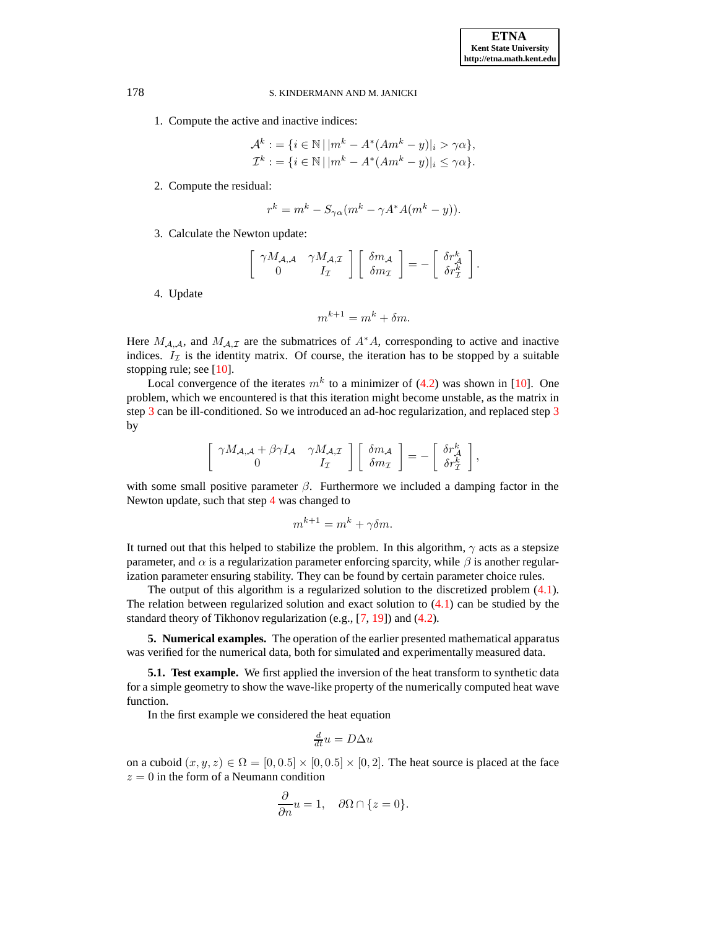1. Compute the active and inactive indices:

$$
\mathcal{A}^k := \{ i \in \mathbb{N} \, | \, |m^k - A^*(Am^k - y)|_i > \gamma \alpha \},
$$
  

$$
\mathcal{I}^k := \{ i \in \mathbb{N} \, | \, |m^k - A^*(Am^k - y)|_i \leq \gamma \alpha \}.
$$

2. Compute the residual:

$$
r^k = m^k - S_{\gamma\alpha}(m^k - \gamma A^* A(m^k - y)).
$$

<span id="page-14-1"></span>3. Calculate the Newton update:

$$
\left[\begin{array}{cc} \gamma M_{\mathcal{A},\mathcal{A}} & \gamma M_{\mathcal{A},\mathcal{I}} \\ 0 & I_{\mathcal{I}} \end{array}\right] \left[\begin{array}{c} \delta m_{\mathcal{A}} \\ \delta m_{\mathcal{I}} \end{array}\right] = -\left[\begin{array}{c} \delta r_{\mathcal{A}}^{k} \\ \delta r_{\mathcal{I}}^{k} \end{array}\right].
$$

4. Update

$$
m^{k+1} = m^k + \delta m.
$$

<span id="page-14-2"></span>Here  $M_{A,A}$ , and  $M_{A,I}$  are the submatrices of  $A^*A$ , corresponding to active and inactive indices.  $I_{\mathcal{I}}$  is the identity matrix. Of course, the iteration has to be stopped by a suitable stopping rule; see [\[10\]](#page-20-17).

Local convergence of the iterates  $m^k$  to a minimizer of [\(4.2\)](#page-13-0) was shown in [\[10\]](#page-20-17). One problem, which we encountered is that this iteration might become unstable, as the matrix in step [3](#page-14-1) can be ill-conditioned. So we introduced an ad-hoc regularization, and replaced step [3](#page-14-1) by

$$
\left[\begin{array}{cc} \gamma M_{\mathcal{A},\mathcal{A}} + \beta \gamma I_{\mathcal{A}} & \gamma M_{\mathcal{A},\mathcal{I}} \\ 0 & I_{\mathcal{I}} \end{array}\right] \left[\begin{array}{c} \delta m_{\mathcal{A}} \\ \delta m_{\mathcal{I}} \end{array}\right] = -\left[\begin{array}{c} \delta r_{\mathcal{A}}^{k} \\ \delta r_{\mathcal{I}}^{k} \end{array}\right],
$$

with some small positive parameter  $\beta$ . Furthermore we included a damping factor in the Newton update, such that step [4](#page-14-2) was changed to

$$
m^{k+1} = m^k + \gamma \delta m.
$$

It turned out that this helped to stabilize the problem. In this algorithm,  $\gamma$  acts as a stepsize parameter, and  $\alpha$  is a regularization parameter enforcing sparcity, while  $\beta$  is another regularization parameter ensuring stability. They can be found by certain parameter choice rules.

The output of this algorithm is a regularized solution to the discretized problem [\(4.1\)](#page-12-1). The relation between regularized solution and exact solution to [\(4.1\)](#page-12-1) can be studied by the standard theory of Tikhonov regularization (e.g., [\[7,](#page-20-14) [19\]](#page-20-16)) and [\(4.2\)](#page-13-0).

<span id="page-14-0"></span>**5. Numerical examples.** The operation of the earlier presented mathematical apparatus was verified for the numerical data, both for simulated and experimentally measured data.

**5.1. Test example.** We first applied the inversion of the heat transform to synthetic data for a simple geometry to show the wave-like property of the numerically computed heat wave function.

In the first example we considered the heat equation

$$
\frac{d}{dt}u = D\Delta u
$$

on a cuboid  $(x, y, z) \in \Omega = [0, 0.5] \times [0, 0.5] \times [0, 2]$ . The heat source is placed at the face  $z = 0$  in the form of a Neumann condition

$$
\frac{\partial}{\partial n}u=1,\quad \partial\Omega\cap\{z=0\}.
$$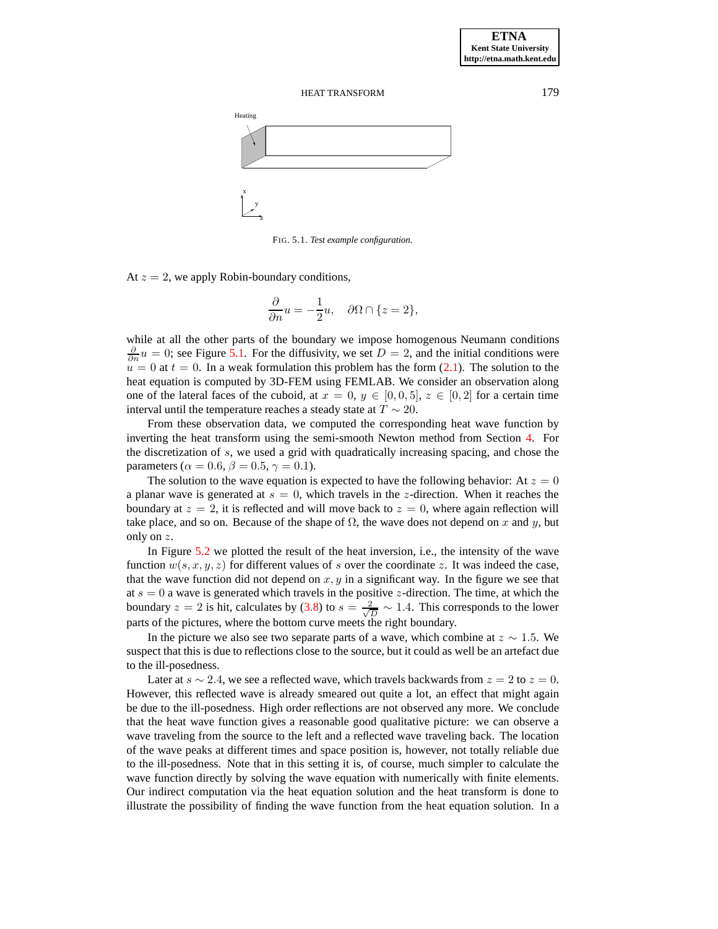

<span id="page-15-0"></span>FIG. 5.1. *Test example configuration.*

At  $z = 2$ , we apply Robin-boundary conditions,

$$
\frac{\partial}{\partial n}u=-\frac{1}{2}u,\quad \partial\Omega\cap\{z=2\},
$$

while at all the other parts of the boundary we impose homogenous Neumann conditions  $\frac{\partial}{\partial n}u = 0$ ; see Figure [5.1.](#page-15-0) For the diffusivity, we set  $D = 2$ , and the initial conditions were  $u = 0$  at  $t = 0$ . In a weak formulation this problem has the form [\(2.1\)](#page-2-0). The solution to the heat equation is computed by 3D-FEM using FEMLAB. We consider an observation along one of the lateral faces of the cuboid, at  $x = 0, y \in [0, 0, 5], z \in [0, 2]$  for a certain time interval until the temperature reaches a steady state at  $T \sim 20$ .

From these observation data, we computed the corresponding heat wave function by inverting the heat transform using the semi-smooth Newton method from Section [4.](#page-12-0) For the discretization of s, we used a grid with quadratically increasing spacing, and chose the parameters ( $\alpha = 0.6$ ,  $\beta = 0.5$ ,  $\gamma = 0.1$ ).

The solution to the wave equation is expected to have the following behavior: At  $z = 0$ a planar wave is generated at  $s = 0$ , which travels in the z-direction. When it reaches the boundary at  $z = 2$ , it is reflected and will move back to  $z = 0$ , where again reflection will take place, and so on. Because of the shape of  $\Omega$ , the wave does not depend on x and y, but only on z.

In Figure [5.2](#page-16-0) we plotted the result of the heat inversion, i.e., the intensity of the wave function  $w(s, x, y, z)$  for different values of s over the coordinate z. It was indeed the case, that the wave function did not depend on  $x, y$  in a significant way. In the figure we see that at  $s = 0$  a wave is generated which travels in the positive z-direction. The time, at which the boundary  $z = 2$  is hit, calculates by [\(3.8\)](#page-12-2) to  $s = \frac{2}{\sqrt{3}}$  $\frac{2}{D} \sim 1.4$ . This corresponds to the lower parts of the pictures, where the bottom curve meets the right boundary.

In the picture we also see two separate parts of a wave, which combine at  $z \sim 1.5$ . We suspect that this is due to reflections close to the source, but it could as well be an artefact due to the ill-posedness.

Later at  $s \sim 2.4$ , we see a reflected wave, which travels backwards from  $z = 2$  to  $z = 0$ . However, this reflected wave is already smeared out quite a lot, an effect that might again be due to the ill-posedness. High order reflections are not observed any more. We conclude that the heat wave function gives a reasonable good qualitative picture: we can observe a wave traveling from the source to the left and a reflected wave traveling back. The location of the wave peaks at different times and space position is, however, not totally reliable due to the ill-posedness. Note that in this setting it is, of course, much simpler to calculate the wave function directly by solving the wave equation with numerically with finite elements. Our indirect computation via the heat equation solution and the heat transform is done to illustrate the possibility of finding the wave function from the heat equation solution. In a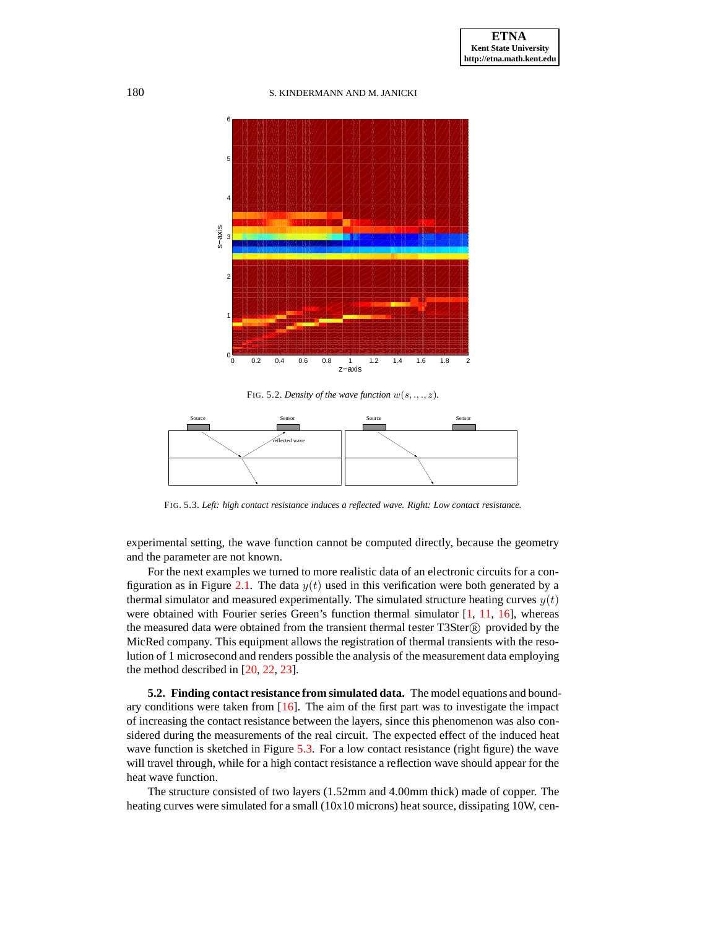180 S. KINDERMANN AND M. JANICKI



<span id="page-16-0"></span>FIG. 5.2. *Density of the wave function*  $w(s, \ldots, z)$ *.* 



FIG. 5.3. *Left: high contact resistance induces a reflected wave. Right: Low contact resistance.*

<span id="page-16-1"></span>experimental setting, the wave function cannot be computed directly, because the geometry and the parameter are not known.

For the next examples we turned to more realistic data of an electronic circuits for a con-figuration as in Figure [2.1.](#page-15-0) The data  $y(t)$  used in this verification were both generated by a thermal simulator and measured experimentally. The simulated structure heating curves  $y(t)$ were obtained with Fourier series Green's function thermal simulator  $[1, 11, 16]$  $[1, 11, 16]$  $[1, 11, 16]$  $[1, 11, 16]$ , whereas the measured data were obtained from the transient thermal tester  $T3Ster(\mathbb{R})$  provided by the MicRed company. This equipment allows the registration of thermal transients with the resolution of 1 microsecond and renders possible the analysis of the measurement data employing the method described in [\[20,](#page-20-20) [22,](#page-20-7) [23\]](#page-20-8).

**5.2. Finding contact resistance from simulated data.** The model equations and boundary conditions were taken from [\[16\]](#page-20-19). The aim of the first part was to investigate the impact of increasing the contact resistance between the layers, since this phenomenon was also considered during the measurements of the real circuit. The expected effect of the induced heat wave function is sketched in Figure [5.3.](#page-16-1) For a low contact resistance (right figure) the wave will travel through, while for a high contact resistance a reflection wave should appear for the heat wave function.

The structure consisted of two layers (1.52mm and 4.00mm thick) made of copper. The heating curves were simulated for a small (10x10 microns) heat source, dissipating 10W, cen-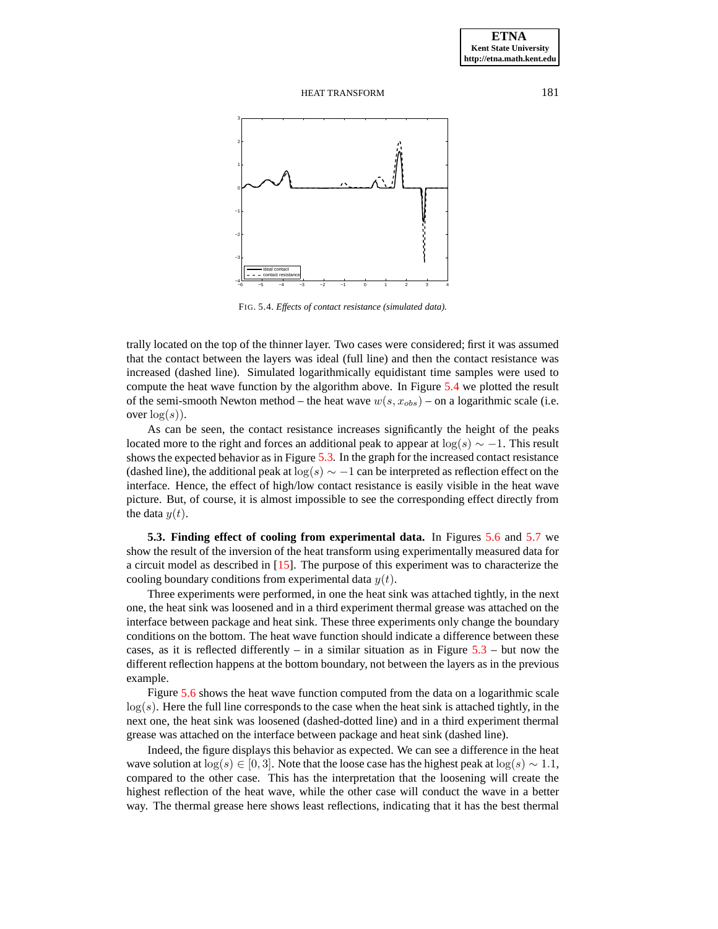

<span id="page-17-0"></span>FIG. 5.4. *Effects of contact resistance (simulated data).*

trally located on the top of the thinner layer. Two cases were considered; first it was assumed that the contact between the layers was ideal (full line) and then the contact resistance was increased (dashed line). Simulated logarithmically equidistant time samples were used to compute the heat wave function by the algorithm above. In Figure [5.4](#page-17-0) we plotted the result of the semi-smooth Newton method – the heat wave  $w(s, x_{obs})$  – on a logarithmic scale (i.e. over  $log(s)$ ).

As can be seen, the contact resistance increases significantly the height of the peaks located more to the right and forces an additional peak to appear at  $log(s) \sim -1$ . This result shows the expected behavior as in Figure [5.3.](#page-16-1) In the graph for the increased contact resistance (dashed line), the additional peak at  $\log(s) \sim -1$  can be interpreted as reflection effect on the interface. Hence, the effect of high/low contact resistance is easily visible in the heat wave picture. But, of course, it is almost impossible to see the corresponding effect directly from the data  $y(t)$ .

**5.3. Finding effect of cooling from experimental data.** In Figures [5.6](#page-18-0) and [5.7](#page-19-3) we show the result of the inversion of the heat transform using experimentally measured data for a circuit model as described in [\[15\]](#page-20-21). The purpose of this experiment was to characterize the cooling boundary conditions from experimental data  $y(t)$ .

Three experiments were performed, in one the heat sink was attached tightly, in the next one, the heat sink was loosened and in a third experiment thermal grease was attached on the interface between package and heat sink. These three experiments only change the boundary conditions on the bottom. The heat wave function should indicate a difference between these cases, as it is reflected differently – in a similar situation as in Figure  $5.3$  – but now the different reflection happens at the bottom boundary, not between the layers as in the previous example.

Figure [5.6](#page-18-0) shows the heat wave function computed from the data on a logarithmic scale  $log(s)$ . Here the full line corresponds to the case when the heat sink is attached tightly, in the next one, the heat sink was loosened (dashed-dotted line) and in a third experiment thermal grease was attached on the interface between package and heat sink (dashed line).

Indeed, the figure displays this behavior as expected. We can see a difference in the heat wave solution at  $\log(s) \in [0, 3]$ . Note that the loose case has the highest peak at  $\log(s) \sim 1.1$ , compared to the other case. This has the interpretation that the loosening will create the highest reflection of the heat wave, while the other case will conduct the wave in a better way. The thermal grease here shows least reflections, indicating that it has the best thermal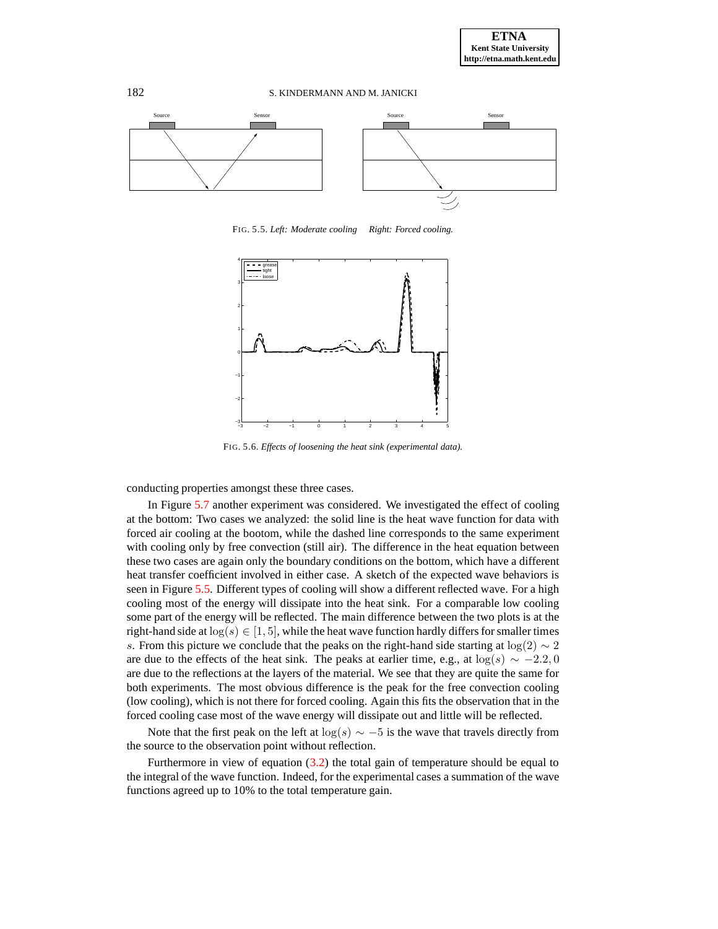

FIG. 5.5. *Left: Moderate cooling Right: Forced cooling.*

<span id="page-18-1"></span>

<span id="page-18-0"></span>FIG. 5.6. *Effects of loosening the heat sink (experimental data).*

conducting properties amongst these three cases.

In Figure [5.7](#page-19-3) another experiment was considered. We investigated the effect of cooling at the bottom: Two cases we analyzed: the solid line is the heat wave function for data with forced air cooling at the bootom, while the dashed line corresponds to the same experiment with cooling only by free convection (still air). The difference in the heat equation between these two cases are again only the boundary conditions on the bottom, which have a different heat transfer coefficient involved in either case. A sketch of the expected wave behaviors is seen in Figure [5.5.](#page-18-1) Different types of cooling will show a different reflected wave. For a high cooling most of the energy will dissipate into the heat sink. For a comparable low cooling some part of the energy will be reflected. The main difference between the two plots is at the right-hand side at  $log(s) \in [1, 5]$ , while the heat wave function hardly differs for smaller times s. From this picture we conclude that the peaks on the right-hand side starting at  $log(2) \sim 2$ are due to the effects of the heat sink. The peaks at earlier time, e.g., at  $\log(s) \sim -2.2, 0$ are due to the reflections at the layers of the material. We see that they are quite the same for both experiments. The most obvious difference is the peak for the free convection cooling (low cooling), which is not there for forced cooling. Again this fits the observation that in the forced cooling case most of the wave energy will dissipate out and little will be reflected.

Note that the first peak on the left at  $log(s) \sim -5$  is the wave that travels directly from the source to the observation point without reflection.

Furthermore in view of equation  $(3.2)$  the total gain of temperature should be equal to the integral of the wave function. Indeed, for the experimental cases a summation of the wave functions agreed up to 10% to the total temperature gain.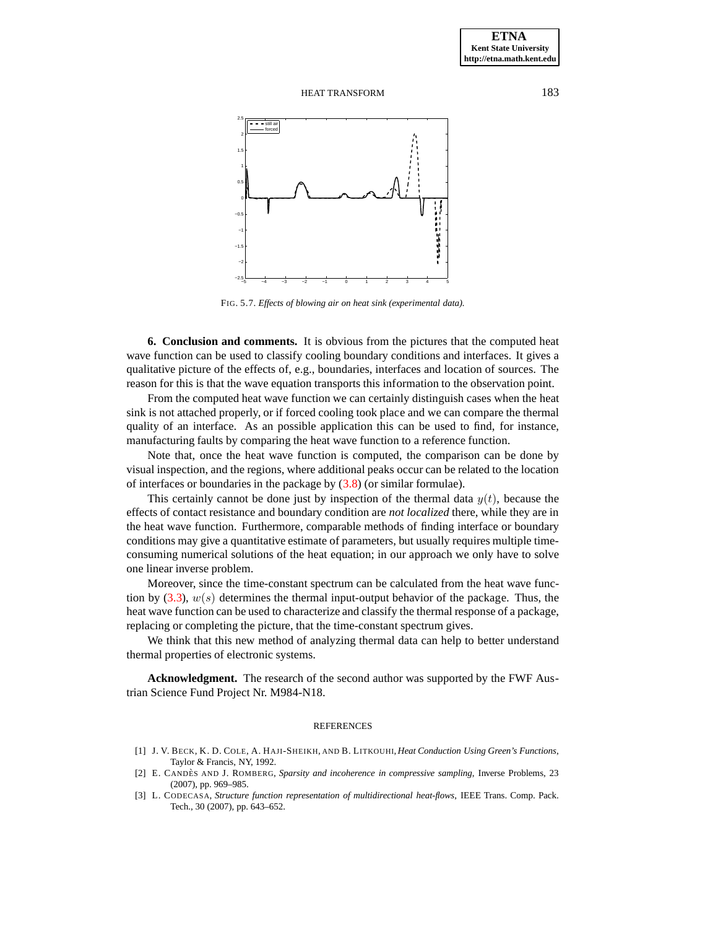

<span id="page-19-3"></span>FIG. 5.7. *Effects of blowing air on heat sink (experimental data).*

**6. Conclusion and comments.** It is obvious from the pictures that the computed heat wave function can be used to classify cooling boundary conditions and interfaces. It gives a qualitative picture of the effects of, e.g., boundaries, interfaces and location of sources. The reason for this is that the wave equation transports this information to the observation point.

From the computed heat wave function we can certainly distinguish cases when the heat sink is not attached properly, or if forced cooling took place and we can compare the thermal quality of an interface. As an possible application this can be used to find, for instance, manufacturing faults by comparing the heat wave function to a reference function.

Note that, once the heat wave function is computed, the comparison can be done by visual inspection, and the regions, where additional peaks occur can be related to the location of interfaces or boundaries in the package by [\(3.8\)](#page-12-2) (or similar formulae).

This certainly cannot be done just by inspection of the thermal data  $y(t)$ , because the effects of contact resistance and boundary condition are *not localized* there, while they are in the heat wave function. Furthermore, comparable methods of finding interface or boundary conditions may give a quantitative estimate of parameters, but usually requires multiple timeconsuming numerical solutions of the heat equation; in our approach we only have to solve one linear inverse problem.

Moreover, since the time-constant spectrum can be calculated from the heat wave function by  $(3.3)$ ,  $w(s)$  determines the thermal input-output behavior of the package. Thus, the heat wave function can be used to characterize and classify the thermal response of a package, replacing or completing the picture, that the time-constant spectrum gives.

We think that this new method of analyzing thermal data can help to better understand thermal properties of electronic systems.

**Acknowledgment.** The research of the second author was supported by the FWF Austrian Science Fund Project Nr. M984-N18.

#### **REFERENCES**

- <span id="page-19-2"></span>[1] J. V. BECK, K. D. COLE, A. HAJI-SHEIKH, AND B. LITKOUHI, *Heat Conduction Using Green's Functions*, Taylor & Francis, NY, 1992.
- <span id="page-19-1"></span>[2] E. CANDÈS AND J. ROMBERG, Sparsity and incoherence in compressive sampling, Inverse Problems, 23 (2007), pp. 969–985.
- <span id="page-19-0"></span>[3] L. CODECASA, *Structure function representation of multidirectional heat-flows*, IEEE Trans. Comp. Pack. Tech., 30 (2007), pp. 643–652.